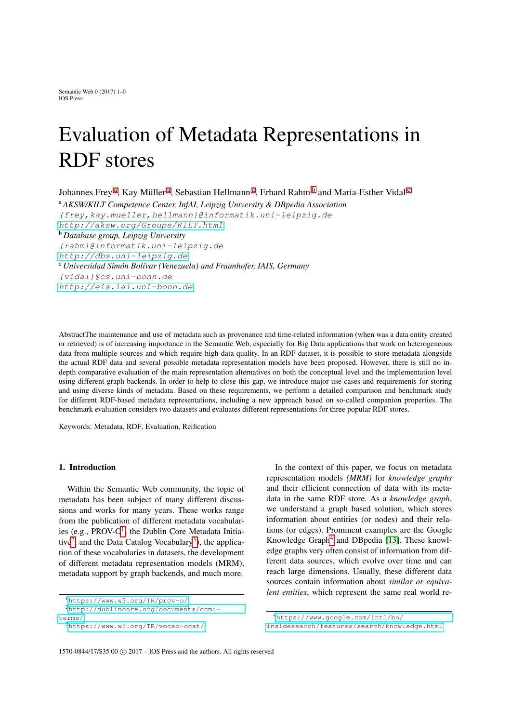Semantic Web 0 (2017) 1–0 IOS Press

# Evaluation of Metadata Representations in RDF stores

Joh[a](#page-0-0)nnes Frey<sup>a</sup>, Kay Müller<sup>a</sup>, Se[b](#page-0-1)astian Hellmann<sup>a</sup>, Erhard Rahm<sup>b</sup> and Maria-Esther Vidal<sup>[c](#page-0-2)</sup>

<span id="page-0-2"></span><span id="page-0-1"></span><sup>a</sup> *AKSW/KILT Competence Center, InfAI, Leipzig University & DBpedia Association* {frey,kay.mueller,hellmann}@informatik.uni-leipzig.de <http://aksw.org/Groups/KILT.html> <sup>b</sup> *Database group, Leipzig University* {rahm}@informatik.uni-leipzig.de <http://dbs.uni-leipzig.de> <sup>c</sup> *Universidad Simón Bolívar (Venezuela) and Fraunhofer, IAIS, Germany* {vidal}@cs.uni-bonn.de <http://eis.iai.uni-bonn.de>

AbstractThe maintenance and use of metadata such as provenance and time-related information (when was a data entity created or retrieved) is of increasing importance in the Semantic Web, especially for Big Data applications that work on heterogeneous data from multiple sources and which require high data quality. In an RDF dataset, it is possible to store metadata alongside the actual RDF data and several possible metadata representation models have been proposed. However, there is still no indepth comparative evaluation of the main representation alternatives on both the conceptual level and the implementation level using different graph backends. In order to help to close this gap, we introduce major use cases and requirements for storing and using diverse kinds of metadata. Based on these requirements, we perform a detailed comparison and benchmark study for different RDF-based metadata representations, including a new approach based on so-called companion properties. The benchmark evaluation considers two datasets and evaluates different representations for three popular RDF stores.

Keywords: Metadata, RDF, Evaluation, Reification

# 1. Introduction

Within the Semantic Web community, the topic of metadata has been subject of many different discussions and works for many years. These works range from the publication of different metadata vocabular-ies (e.g., PROV-O<sup>[1](#page-0-3)</sup>, the Dublin Core Metadata Initia-tive<sup>[2](#page-0-4)</sup>, and the Data Catalog Vocabulary<sup>[3](#page-0-5)</sup>), the application of these vocabularies in datasets, the development of different metadata representation models (MRM), metadata support by graph backends, and much more.

<span id="page-0-0"></span>In the context of this paper, we focus on metadata representation models *(MRM)* for *knowledge graphs* and their efficient connection of data with its metadata in the same RDF store. As a *knowledge graph*, we understand a graph based solution, which stores information about entities (or nodes) and their relations (or edges). Prominent examples are the Google Knowledge Graph<sup>[4](#page-0-6)</sup> and DBpedia [\[13\]](#page-22-0). These knowledge graphs very often consist of information from different data sources, which evolve over time and can reach large dimensions. Usually, these different data sources contain information about *similar or equivalent entities*, which represent the same real world re-

1570-0844/17/\$35.00 c 2017 – IOS Press and the authors. All rights reserved

<span id="page-0-4"></span><span id="page-0-3"></span><sup>1</sup><https://www.w3.org/TR/prov-o/>

<sup>2</sup>[http://dublincore.org/documents/dcmi](http://dublincore.org/documents/dcmi-terms/) $t \in rms/$ 

<span id="page-0-5"></span><sup>3</sup><https://www.w3.org/TR/vocab-dcat/>

<span id="page-0-6"></span><sup>4</sup>[https://www.google.com/intl/bn/](https://www.google.com/intl/bn/insidesearch/features/search/knowledge.html)

[insidesearch/features/search/knowledge.html](https://www.google.com/intl/bn/insidesearch/features/search/knowledge.html)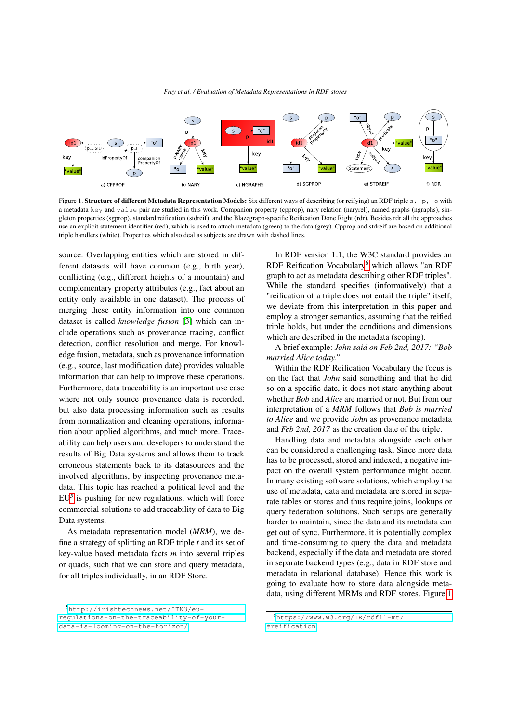<span id="page-1-2"></span>

Figure 1. Structure of different Metadata Representation Models: Six different ways of describing (or reifying) an RDF triple s, p, o with a metadata key and value pair are studied in this work. Companion property (cpprop), nary relation (naryrel), named graphs (ngraphs), singleton properties (sgprop), standard reification (stdreif), and the Blazegraph-specific Reification Done Right (rdr). Besides rdr all the approaches use an explicit statement identifier (red), which is used to attach metadata (green) to the data (grey). Cpprop and stdreif are based on additional triple handlers (white). Properties which also deal as subjects are drawn with dashed lines.

source. Overlapping entities which are stored in different datasets will have common (e.g., birth year), conflicting (e.g., different heights of a mountain) and complementary property attributes (e.g., fact about an entity only available in one dataset). The process of merging these entity information into one common dataset is called *knowledge fusion* [\[3\]](#page-22-1) which can include operations such as provenance tracing, conflict detection, conflict resolution and merge. For knowledge fusion, metadata, such as provenance information (e.g., source, last modification date) provides valuable information that can help to improve these operations. Furthermore, data traceability is an important use case where not only source provenance data is recorded, but also data processing information such as results from normalization and cleaning operations, information about applied algorithms, and much more. Traceability can help users and developers to understand the results of Big Data systems and allows them to track erroneous statements back to its datasources and the involved algorithms, by inspecting provenance metadata. This topic has reached a political level and the  $EU<sup>5</sup>$  $EU<sup>5</sup>$  $EU<sup>5</sup>$  is pushing for new regulations, which will force commercial solutions to add traceability of data to Big Data systems.

As metadata representation model (*MRM*), we define a strategy of splitting an RDF triple *t* and its set of key-value based metadata facts *m* into several triples or quads, such that we can store and query metadata, for all triples individually, in an RDF Store.

In RDF version 1.1, the W3C standard provides an RDF Reification Vocabulary[6](#page-1-1) which allows "an RDF graph to act as metadata describing other RDF triples". While the standard specifies (informatively) that a "reification of a triple does not entail the triple" itself, we deviate from this interpretation in this paper and employ a stronger semantics, assuming that the reified triple holds, but under the conditions and dimensions which are described in the metadata (scoping).

A brief example: *John said on Feb 2nd, 2017: "Bob married Alice today."*

Within the RDF Reification Vocabulary the focus is on the fact that *John* said something and that he did so on a specific date, it does not state anything about whether *Bob* and *Alice* are married or not. But from our interpretation of a *MRM* follows that *Bob is married to Alice* and we provide *John* as provenance metadata and *Feb 2nd, 2017* as the creation date of the triple.

Handling data and metadata alongside each other can be considered a challenging task. Since more data has to be processed, stored and indexed, a negative impact on the overall system performance might occur. In many existing software solutions, which employ the use of metadata, data and metadata are stored in separate tables or stores and thus require joins, lookups or query federation solutions. Such setups are generally harder to maintain, since the data and its metadata can get out of sync. Furthermore, it is potentially complex and time-consuming to query the data and metadata backend, especially if the data and metadata are stored in separate backend types (e.g., data in RDF store and metadata in relational database). Hence this work is going to evaluate how to store data alongside metadata, using different MRMs and RDF stores. Figure [1](#page-1-2)

```
#reification
```
<span id="page-1-0"></span><sup>5</sup>[http://irishtechnews.net/ITN3/eu](http://irishtechnews.net/ITN3/eu-regulations-on-the-traceability-of-your-data-is-looming-on-the-horizon/)[regulations-on-the-traceability-of-your](http://irishtechnews.net/ITN3/eu-regulations-on-the-traceability-of-your-data-is-looming-on-the-horizon/)[data-is-looming-on-the-horizon/](http://irishtechnews.net/ITN3/eu-regulations-on-the-traceability-of-your-data-is-looming-on-the-horizon/)

<span id="page-1-1"></span><sup>6</sup>[https://www.w3.org/TR/rdf11-mt/](https://www.w3.org/TR/rdf11-mt/#reification)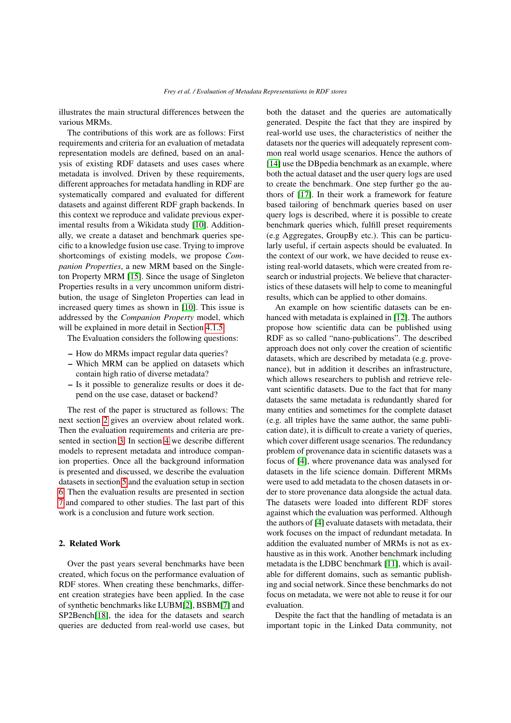illustrates the main structural differences between the various MRMs.

The contributions of this work are as follows: First requirements and criteria for an evaluation of metadata representation models are defined, based on an analysis of existing RDF datasets and uses cases where metadata is involved. Driven by these requirements, different approaches for metadata handling in RDF are systematically compared and evaluated for different datasets and against different RDF graph backends. In this context we reproduce and validate previous experimental results from a Wikidata study [\[10\]](#page-22-2). Additionally, we create a dataset and benchmark queries specific to a knowledge fusion use case. Trying to improve shortcomings of existing models, we propose *Companion Properties*, a new MRM based on the Singleton Property MRM [\[15\]](#page-23-0). Since the usage of Singleton Properties results in a very uncommon uniform distribution, the usage of Singleton Properties can lead in increased query times as shown in [\[10\]](#page-22-2). This issue is addressed by the *Companion Property* model, which will be explained in more detail in Section [4.1.5.](#page-8-0)

The Evaluation considers the following questions:

- How do MRMs impact regular data queries?
- Which MRM can be applied on datasets which contain high ratio of diverse metadata?
- Is it possible to generalize results or does it depend on the use case, dataset or backend?

The rest of the paper is structured as follows: The next section [2](#page-2-0) gives an overview about related work. Then the evaluation requirements and criteria are presented in section [3.](#page-3-0) In section [4](#page-6-0) we describe different models to represent metadata and introduce companion properties. Once all the background information is presented and discussed, we describe the evaluation datasets in section [5](#page-10-0) and the evaluation setup in section [6.](#page-11-0) Then the evaluation results are presented in section [7](#page-15-0) and compared to other studies. The last part of this work is a conclusion and future work section.

# <span id="page-2-0"></span>2. Related Work

Over the past years several benchmarks have been created, which focus on the performance evaluation of RDF stores. When creating these benchmarks, different creation strategies have been applied. In the case of synthetic benchmarks like LUBM[\[2\]](#page-22-3), BSBM[\[7\]](#page-22-4) and SP2Bench[\[18\]](#page-23-1), the idea for the datasets and search queries are deducted from real-world use cases, but both the dataset and the queries are automatically generated. Despite the fact that they are inspired by real-world use uses, the characteristics of neither the datasets nor the queries will adequately represent common real world usage scenarios. Hence the authors of [\[14\]](#page-23-2) use the DB pedia benchmark as an example, where both the actual dataset and the user query logs are used to create the benchmark. One step further go the authors of [\[17\]](#page-23-3). In their work a framework for feature based tailoring of benchmark queries based on user query logs is described, where it is possible to create benchmark queries which, fulfill preset requirements (e.g Aggregates, GroupBy etc.). This can be particularly useful, if certain aspects should be evaluated. In the context of our work, we have decided to reuse existing real-world datasets, which were created from research or industrial projects. We believe that characteristics of these datasets will help to come to meaningful results, which can be applied to other domains.

An example on how scientific datasets can be enhanced with metadata is explained in [\[12\]](#page-22-5). The authors propose how scientific data can be published using RDF as so called "nano-publications". The described approach does not only cover the creation of scientific datasets, which are described by metadata (e.g. provenance), but in addition it describes an infrastructure, which allows researchers to publish and retrieve relevant scientific datasets. Due to the fact that for many datasets the same metadata is redundantly shared for many entities and sometimes for the complete dataset (e.g. all triples have the same author, the same publication date), it is difficult to create a variety of queries, which cover different usage scenarios. The redundancy problem of provenance data in scientific datasets was a focus of [\[4\]](#page-22-6), where provenance data was analysed for datasets in the life science domain. Different MRMs were used to add metadata to the chosen datasets in order to store provenance data alongside the actual data. The datasets were loaded into different RDF stores against which the evaluation was performed. Although the authors of [\[4\]](#page-22-6) evaluate datasets with metadata, their work focuses on the impact of redundant metadata. In addition the evaluated number of MRMs is not as exhaustive as in this work. Another benchmark including metadata is the LDBC benchmark [\[11\]](#page-22-7), which is available for different domains, such as semantic publishing and social network. Since these benchmarks do not focus on metadata, we were not able to reuse it for our evaluation.

Despite the fact that the handling of metadata is an important topic in the Linked Data community, not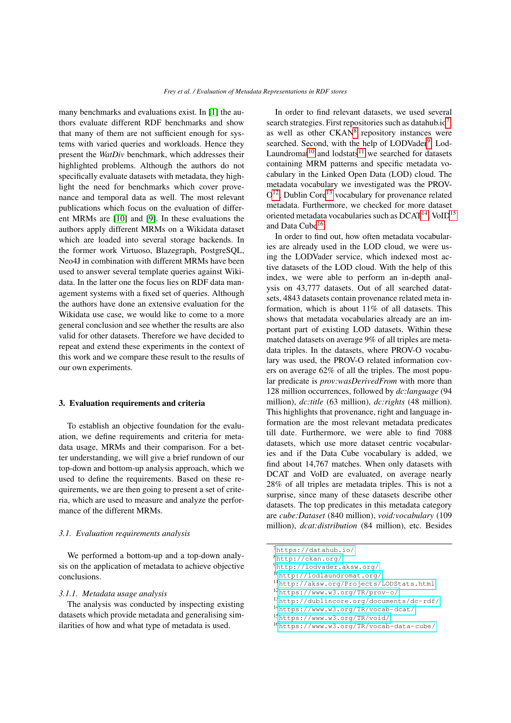many benchmarks and evaluations exist. In [\[1\]](#page-22-8) the authors evaluate different RDF benchmarks and show that many of them are not sufficient enough for systems with varied queries and workloads. Hence they present the *WatDiv* benchmark, which addresses their highlighted problems. Although the authors do not specifically evaluate datasets with metadata, they highlight the need for benchmarks which cover provenance and temporal data as well. The most relevant publications which focus on the evaluation of different MRMs are [\[10\]](#page-22-2) and [\[9\]](#page-22-9). In these evaluations the authors apply different MRMs on a Wikidata dataset which are loaded into several storage backends. In the former work Virtuoso, Blazegraph, PostgreSQL, Neo4J in combination with different MRMs have been used to answer several template queries against Wikidata. In the latter one the focus lies on RDF data management systems with a fixed set of queries. Although the authors have done an extensive evaluation for the Wikidata use case, we would like to come to a more general conclusion and see whether the results are also valid for other datasets. Therefore we have decided to repeat and extend these experiments in the context of this work and we compare these result to the results of our own experiments.

### <span id="page-3-0"></span>3. Evaluation requirements and criteria

To establish an objective foundation for the evaluation, we define requirements and criteria for metadata usage, MRMs and their comparison. For a better understanding, we will give a brief rundown of our top-down and bottom-up analysis approach, which we used to define the requirements. Based on these requirements, we are then going to present a set of criteria, which are used to measure and analyze the performance of the different MRMs.

# *3.1. Evaluation requirements analysis*

We performed a bottom-up and a top-down analysis on the application of metadata to achieve objective conclusions.

# *3.1.1. Metadata usage analysis*

The analysis was conducted by inspecting existing datasets which provide metadata and generalising similarities of how and what type of metadata is used.

In order to find relevant datasets, we used several search strategies. First repositories such as datahub.io<sup>[7](#page-3-1)</sup>, as well as other CKAN<sup>[8](#page-3-2)</sup> repository instances were searched. Second, with the help of LODVader<sup>[9](#page-3-3)</sup>, Lod-Laundromat<sup>[10](#page-3-4)</sup> and lodstats<sup>[11](#page-3-5)</sup> we searched for datasets containing MRM patterns and specific metadata vocabulary in the Linked Open Data (LOD) cloud. The metadata vocabulary we investigated was the PROV-O<sup>[12](#page-3-6)</sup>, Dublin Core<sup>[13](#page-3-7)</sup> vocabulary for provenance related metadata. Furthermore, we checked for more dataset oriented metadata vocabularies such as  $DCAT^{14}$  $DCAT^{14}$  $DCAT^{14}$ , VoID<sup>[15](#page-3-9)</sup> and Data Cube<sup>[16](#page-3-10)</sup>.

In order to find out, how often metadata vocabularies are already used in the LOD cloud, we were using the LODVader service, which indexed most active datasets of the LOD cloud. With the help of this index, we were able to perform an in-depth analysis on 43,777 datasets. Out of all searched datatsets, 4843 datasets contain provenance related meta information, which is about 11% of all datasets. This shows that metadata vocabularies already are an important part of existing LOD datasets. Within these matched datasets on average 9% of all triples are metadata triples. In the datasets, where PROV-O vocabulary was used, the PROV-O related information covers on average 62% of all the triples. The most popular predicate is *prov:wasDerivedFrom* with more than 128 million occurrences, followed by *dc:language* (94 million), *dc:title* (63 million), *dc:rights* (48 million). This highlights that provenance, right and language information are the most relevant metadata predicates till date. Furthermore, we were able to find 7088 datasets, which use more dataset centric vocabularies and if the Data Cube vocabulary is added, we find about 14,767 matches. When only datasets with DCAT and VoID are evaluated, on average nearly 28% of all triples are metadata triples. This is not a surprise, since many of these datasets describe other datasets. The top predicates in this metadata category are *cube:Dataset* (840 million), *void:vocabulary* (109 million), *dcat:distribution* (84 million), etc. Besides

- <span id="page-3-7"></span><sup>13</sup><http://dublincore.org/documents/dc-rdf/>
- <span id="page-3-8"></span><sup>14</sup><https://www.w3.org/TR/vocab-dcat/>

<span id="page-3-1"></span><sup>7</sup><https://datahub.io/>

<span id="page-3-2"></span><sup>8</sup><http://ckan.org/>

<span id="page-3-3"></span><sup>9</sup><http://lodvader.aksw.org/>

<span id="page-3-5"></span><span id="page-3-4"></span><sup>10</sup><http://lodlaundromat.org/> <sup>11</sup><http://aksw.org/Projects/LODStats.html>

<span id="page-3-6"></span><sup>12</sup><https://www.w3.org/TR/prov-o/>

<span id="page-3-9"></span><sup>15</sup><https://www.w3.org/TR/void/>

<span id="page-3-10"></span><sup>16</sup><https://www.w3.org/TR/vocab-data-cube/>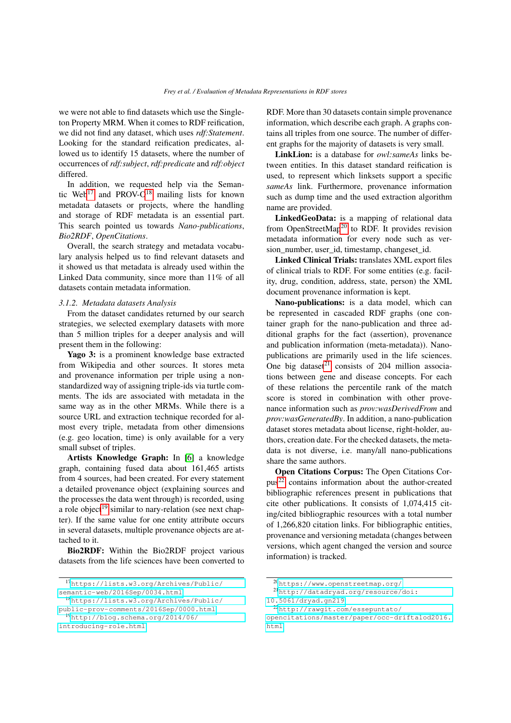we were not able to find datasets which use the Singleton Property MRM. When it comes to RDF reification, we did not find any dataset, which uses *rdf:Statement*. Looking for the standard reification predicates, allowed us to identify 15 datasets, where the number of occurrences of *rdf:subject*, *rdf:predicate* and *rdf:object* differed.

In addition, we requested help via the Seman-tic Web<sup>[17](#page-4-0)</sup> and PROV- $O^{18}$  $O^{18}$  $O^{18}$  mailing lists for known metadata datasets or projects, where the handling and storage of RDF metadata is an essential part. This search pointed us towards *Nano-publications*, *Bio2RDF*, *OpenCitations*.

Overall, the search strategy and metadata vocabulary analysis helped us to find relevant datasets and it showed us that metadata is already used within the Linked Data community, since more than 11% of all datasets contain metadata information.

### *3.1.2. Metadata datasets Analysis*

From the dataset candidates returned by our search strategies, we selected exemplary datasets with more than 5 million triples for a deeper analysis and will present them in the following:

Yago 3: is a prominent knowledge base extracted from Wikipedia and other sources. It stores meta and provenance information per triple using a nonstandardized way of assigning triple-ids via turtle comments. The ids are associated with metadata in the same way as in the other MRMs. While there is a source URL and extraction technique recorded for almost every triple, metadata from other dimensions (e.g. geo location, time) is only available for a very small subset of triples.

Artists Knowledge Graph: In [\[6\]](#page-22-10) a knowledge graph, containing fused data about 161,465 artists from 4 sources, had been created. For every statement a detailed provenance object (explaining sources and the processes the data went through) is recorded, using a role object<sup>[19](#page-4-2)</sup> similar to nary-relation (see next chapter). If the same value for one entity attribute occurs in several datasets, multiple provenance objects are attached to it.

Bio2RDF: Within the Bio2RDF project various datasets from the life sciences have been converted to RDF. More than 30 datasets contain simple provenance information, which describe each graph. A graphs contains all triples from one source. The number of different graphs for the majority of datasets is very small.

LinkLion: is a database for *owl:sameAs* links between entities. In this dataset standard reification is used, to represent which linksets support a specific *sameAs* link. Furthermore, provenance information such as dump time and the used extraction algorithm name are provided.

LinkedGeoData: is a mapping of relational data from OpenStreetMap<sup>[20](#page-4-3)</sup> to RDF. It provides revision metadata information for every node such as version number, user id, timestamp, changeset id.

Linked Clinical Trials: translates XML export files of clinical trials to RDF. For some entities (e.g. facility, drug, condition, address, state, person) the XML document provenance information is kept.

Nano-publications: is a data model, which can be represented in cascaded RDF graphs (one container graph for the nano-publication and three additional graphs for the fact (assertion), provenance and publication information (meta-metadata)). Nanopublications are primarily used in the life sciences. One big dataset $^{21}$  $^{21}$  $^{21}$  consists of 204 million associations between gene and disease concepts. For each of these relations the percentile rank of the match score is stored in combination with other provenance information such as *prov:wasDerivedFrom* and *prov:wasGeneratedBy*. In addition, a nano-publication dataset stores metadata about license, right-holder, authors, creation date. For the checked datasets, the metadata is not diverse, i.e. many/all nano-publications share the same authors.

Open Citations Corpus: The Open Citations Corpus[22](#page-4-5) contains information about the author-created bibliographic references present in publications that cite other publications. It consists of 1,074,415 citing/cited bibliographic resources with a total number of 1,266,820 citation links. For bibliographic entities, provenance and versioning metadata (changes between versions, which agent changed the version and source information) is tracked.

<span id="page-4-0"></span><sup>17</sup>[https://lists.w3.org/Archives/Public/](https://lists.w3.org/Archives/Public/semantic-web/2016Sep/0034.html) [semantic-web/2016Sep/0034.html](https://lists.w3.org/Archives/Public/semantic-web/2016Sep/0034.html)

<span id="page-4-1"></span><sup>18</sup>[https://lists.w3.org/Archives/Public/](https://lists.w3.org/Archives/Public/public-prov-comments/2016Sep/0000.html)

<span id="page-4-2"></span>[public-prov-comments/2016Sep/0000.html](https://lists.w3.org/Archives/Public/public-prov-comments/2016Sep/0000.html) <sup>19</sup>[http://blog.schema.org/2014/06/](http://blog.schema.org/2014/06/introducing-role.html)

[introducing-role.html](http://blog.schema.org/2014/06/introducing-role.html)

<span id="page-4-4"></span><span id="page-4-3"></span><sup>20</sup><https://www.openstreetmap.org/>

<sup>21</sup>[http://datadryad.org/resource/doi:](http://datadryad.org/resource/doi:10.5061/dryad.gn219) [10.5061/dryad.gn219](http://datadryad.org/resource/doi:10.5061/dryad.gn219)

<span id="page-4-5"></span><sup>22</sup>[http://rawgit.com/essepuntato/](http://rawgit.com/essepuntato/opencitations/master/paper/occ-driftalod2016.html)

[opencitations/master/paper/occ-driftalod2016.](http://rawgit.com/essepuntato/opencitations/master/paper/occ-driftalod2016.html) [html](http://rawgit.com/essepuntato/opencitations/master/paper/occ-driftalod2016.html)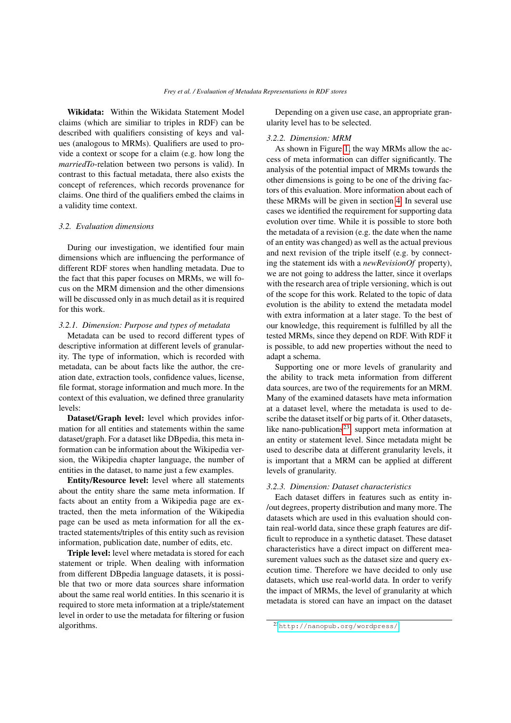Wikidata: Within the Wikidata Statement Model claims (which are similiar to triples in RDF) can be described with qualifiers consisting of keys and values (analogous to MRMs). Qualifiers are used to provide a context or scope for a claim (e.g. how long the *marriedTo*-relation between two persons is valid). In contrast to this factual metadata, there also exists the concept of references, which records provenance for claims. One third of the qualifiers embed the claims in a validity time context.

# *3.2. Evaluation dimensions*

During our investigation, we identified four main dimensions which are influencing the performance of different RDF stores when handling metadata. Due to the fact that this paper focuses on MRMs, we will focus on the MRM dimension and the other dimensions will be discussed only in as much detail as it is required for this work.

# *3.2.1. Dimension: Purpose and types of metadata*

Metadata can be used to record different types of descriptive information at different levels of granularity. The type of information, which is recorded with metadata, can be about facts like the author, the creation date, extraction tools, confidence values, license, file format, storage information and much more. In the context of this evaluation, we defined three granularity levels:

Dataset/Graph level: level which provides information for all entities and statements within the same dataset/graph. For a dataset like DBpedia, this meta information can be information about the Wikipedia version, the Wikipedia chapter language, the number of entities in the dataset, to name just a few examples.

Entity/Resource level: level where all statements about the entity share the same meta information. If facts about an entity from a Wikipedia page are extracted, then the meta information of the Wikipedia page can be used as meta information for all the extracted statements/triples of this entity such as revision information, publication date, number of edits, etc.

Triple level: level where metadata is stored for each statement or triple. When dealing with information from different DBpedia language datasets, it is possible that two or more data sources share information about the same real world entities. In this scenario it is required to store meta information at a triple/statement level in order to use the metadata for filtering or fusion algorithms.

Depending on a given use case, an appropriate granularity level has to be selected.

### *3.2.2. Dimension: MRM*

As shown in Figure [1,](#page-1-2) the way MRMs allow the access of meta information can differ significantly. The analysis of the potential impact of MRMs towards the other dimensions is going to be one of the driving factors of this evaluation. More information about each of these MRMs will be given in section [4.](#page-6-0) In several use cases we identified the requirement for supporting data evolution over time. While it is possible to store both the metadata of a revision (e.g. the date when the name of an entity was changed) as well as the actual previous and next revision of the triple itself (e.g. by connecting the statement ids with a *newRevisionOf* property), we are not going to address the latter, since it overlaps with the research area of triple versioning, which is out of the scope for this work. Related to the topic of data evolution is the ability to extend the metadata model with extra information at a later stage. To the best of our knowledge, this requirement is fulfilled by all the tested MRMs, since they depend on RDF. With RDF it is possible, to add new properties without the need to adapt a schema.

Supporting one or more levels of granularity and the ability to track meta information from different data sources, are two of the requirements for an MRM. Many of the examined datasets have meta information at a dataset level, where the metadata is used to describe the dataset itself or big parts of it. Other datasets, like nano-publications $23$ , support meta information at an entity or statement level. Since metadata might be used to describe data at different granularity levels, it is important that a MRM can be applied at different levels of granularity.

### *3.2.3. Dimension: Dataset characteristics*

Each dataset differs in features such as entity in- /out degrees, property distribution and many more. The datasets which are used in this evaluation should contain real-world data, since these graph features are difficult to reproduce in a synthetic dataset. These dataset characteristics have a direct impact on different measurement values such as the dataset size and query execution time. Therefore we have decided to only use datasets, which use real-world data. In order to verify the impact of MRMs, the level of granularity at which metadata is stored can have an impact on the dataset

<span id="page-5-0"></span><sup>23</sup><http://nanopub.org/wordpress/>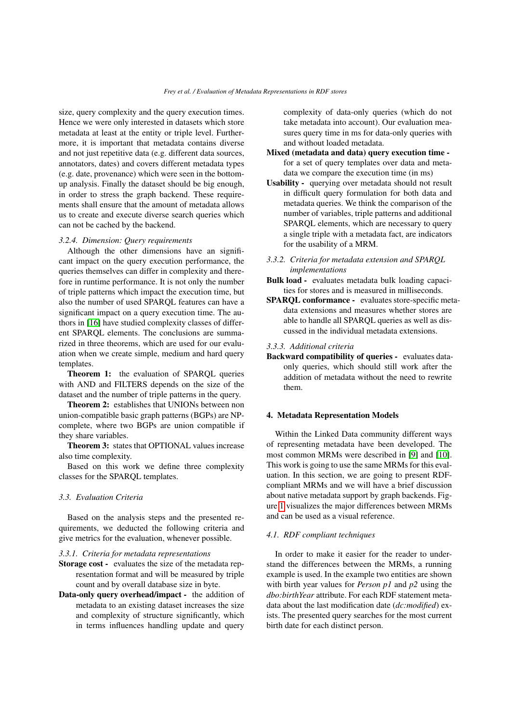size, query complexity and the query execution times. Hence we were only interested in datasets which store metadata at least at the entity or triple level. Furthermore, it is important that metadata contains diverse and not just repetitive data (e.g. different data sources, annotators, dates) and covers different metadata types (e.g. date, provenance) which were seen in the bottomup analysis. Finally the dataset should be big enough, in order to stress the graph backend. These requirements shall ensure that the amount of metadata allows us to create and execute diverse search queries which can not be cached by the backend.

# <span id="page-6-1"></span>*3.2.4. Dimension: Query requirements*

Although the other dimensions have an significant impact on the query execution performance, the queries themselves can differ in complexity and therefore in runtime performance. It is not only the number of triple patterns which impact the execution time, but also the number of used SPARQL features can have a significant impact on a query execution time. The authors in [\[16\]](#page-23-4) have studied complexity classes of different SPARQL elements. The conclusions are summarized in three theorems, which are used for our evaluation when we create simple, medium and hard query templates.

Theorem 1: the evaluation of SPARQL queries with AND and FILTERS depends on the size of the dataset and the number of triple patterns in the query.

Theorem 2: establishes that UNIONs between non union-compatible basic graph patterns (BGPs) are NPcomplete, where two BGPs are union compatible if they share variables.

Theorem 3: states that OPTIONAL values increase also time complexity.

Based on this work we define three complexity classes for the SPARQL templates.

### *3.3. Evaluation Criteria*

Based on the analysis steps and the presented requirements, we deducted the following criteria and give metrics for the evaluation, whenever possible.

*3.3.1. Criteria for metadata representations*

- Storage cost evaluates the size of the metadata representation format and will be measured by triple count and by overall database size in byte.
- Data-only query overhead/impact the addition of metadata to an existing dataset increases the size and complexity of structure significantly, which in terms influences handling update and query

complexity of data-only queries (which do not take metadata into account). Our evaluation measures query time in ms for data-only queries with and without loaded metadata.

- Mixed (metadata and data) query execution time for a set of query templates over data and metadata we compare the execution time (in ms)
- Usability querying over metadata should not result in difficult query formulation for both data and metadata queries. We think the comparison of the number of variables, triple patterns and additional SPARQL elements, which are necessary to query a single triple with a metadata fact, are indicators for the usability of a MRM.
- *3.3.2. Criteria for metadata extension and SPARQL implementations*
- Bulk load evaluates metadata bulk loading capacities for stores and is measured in milliseconds.
- SPARQL conformance evaluates store-specific metadata extensions and measures whether stores are able to handle all SPARQL queries as well as discussed in the individual metadata extensions.

### *3.3.3. Additional criteria*

Backward compatibility of queries - evaluates dataonly queries, which should still work after the addition of metadata without the need to rewrite them.

# <span id="page-6-0"></span>4. Metadata Representation Models

Within the Linked Data community different ways of representing metadata have been developed. The most common MRMs were described in [\[9\]](#page-22-9) and [\[10\]](#page-22-2). This work is going to use the same MRMs for this evaluation. In this section, we are going to present RDFcompliant MRMs and we will have a brief discussion about native metadata support by graph backends. Figure [1](#page-1-2) visualizes the major differences between MRMs and can be used as a visual reference.

### *4.1. RDF compliant techniques*

In order to make it easier for the reader to understand the differences between the MRMs, a running example is used. In the example two entities are shown with birth year values for *Person p1* and *p2* using the *dbo:birthYear* attribute. For each RDF statement metadata about the last modification date (*dc:modified*) exists. The presented query searches for the most current birth date for each distinct person.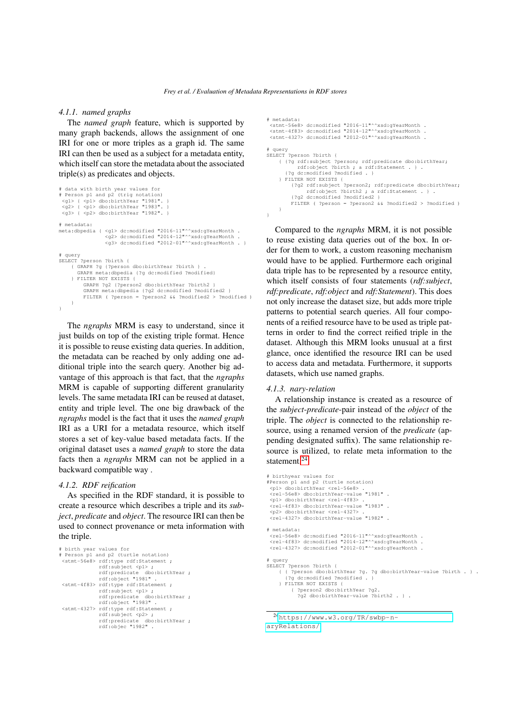### *4.1.1. named graphs*

The *named graph* feature, which is supported by many graph backends, allows the assignment of one IRI for one or more triples as a graph id. The same IRI can then be used as a subject for a metadata entity, which itself can store the metadata about the associated triple(s) as predicates and objects.

```
# data with birth year values for
# Person p1 and p2 (trig notation)
  <g1> { <p1> dbo:birthYear "1981". }
<g2> { <p1> dbo:birthYear "1983". }
<g3> { <p2> dbo:birthYear "1982". }
# metadata:
meta:dbpedia { <g1> dc:modified "2016-11"^^xsd:gYearMonth .
                     <g2> dc:modified "2014-12"^^xsd:gYearMonth .
                    <g3> dc:modified "2012-01"^^xsd:gYearMonth . }
# query
SELECT ?person ?birth {
      { GRAPH ?g {?person dbo:birthYear ?birth } .
GRAPH meta:dbpedia {?g dc:modified ?modified}
      } FILTER NOT EXISTS {
           GRAPH ?g2 {?person2 dbo:birthYear ?birth2 }
           GRAPH meta:dbpedia {?g2 dc:modified ?modified2 }
FILTER ( ?person = ?person2 && ?modified2 > ?modified )
     }
}
```
The *ngraphs* MRM is easy to understand, since it just builds on top of the existing triple format. Hence it is possible to reuse existing data queries. In addition, the metadata can be reached by only adding one additional triple into the search query. Another big advantage of this approach is that fact, that the *ngraphs* MRM is capable of supporting different granularity levels. The same metadata IRI can be reused at dataset, entity and triple level. The one big drawback of the *ngraphs* model is the fact that it uses the *named graph* IRI as a URI for a metadata resource, which itself stores a set of key-value based metadata facts. If the original dataset uses a *named graph* to store the data facts then a *ngraphs* MRM can not be applied in a backward compatible way .

# *4.1.2. RDF reification*

As specified in the RDF standard, it is possible to create a resource which describes a triple and its *subject*, *predicate* and *object*. The resource IRI can then be used to connect provenance or meta information with the triple.

```
# birth year values for
# Person p1 and p2 (turtle notation)
<stmt-56e8> rdf:type rdf:Statement ;
                rdf:subject <p1> ;
                rdf:predicate dbo:birthYear ;
                rdf:object "1981" .
 <stmt-4f83> rdf:type rdf:Statement ;
rdf:subject <p1> ;
                rdf:predicate dbo:birthYear ;
rdf:object "1983" .
 <stmt-4327> rdf:type rdf:Statement ;
rdf:subject <p2> ;
                rdf:predicate dbo:birthYear ;
rdf:objec "1982" .
```

```
# metadata:
  <stmt-56e8> dc:modified "2016-11"^^xsd:gYearMonth .
 <stmt-4f83> dc:modified "2014-12"^^xsd:gYearMonth .
<stmt-4327> dc:modified "2012-01"^^xsd:gYearMonth .
# query
SELECT ?person ?birth {
     { {?g rdf:subject ?person; rdf:predicate dbo:birthYear;
rdf:object ?birth ; a rdf:Statement . } .
        {?g dc:modified ?modified . }
     } FILTER NOT EXISTS {
          {?g2 rdf:subject ?person2; rdf:predicate dbo:birthYear;
               rdf:object ?birth2 ; a rdf:Statement . } .
          {?g2 dc:modified ?modified2 }
          FILTER ( ?person = ?person2 && ?modified2 > ?modified )
     }
}
```
Compared to the *ngraphs* MRM, it is not possible to reuse existing data queries out of the box. In order for them to work, a custom reasoning mechanism would have to be applied. Furthermore each original data triple has to be represented by a resource entity, which itself consists of four statements (*rdf:subject*, *rdf:predicate*, *rdf:object* and *rdf:Statement*). This does not only increase the dataset size, but adds more triple patterns to potential search queries. All four components of a reified resource have to be used as triple patterns in order to find the correct reified triple in the dataset. Although this MRM looks unusual at a first glance, once identified the resource IRI can be used to access data and metadata. Furthermore, it supports datasets, which use named graphs.

### *4.1.3. nary-relation*

A relationship instance is created as a resource of the *subject*-*predicate*-pair instead of the *object* of the triple. The *object* is connected to the relationship resource, using a renamed version of the *predicate* (appending designated suffix). The same relationship resource is utilized, to relate meta information to the statement.<sup>[24](#page-7-0)</sup>

```
# birthyear values for
#Person p1 and p2 (turtle notation)
 <p1> dbo:birthYear <rel-56e8> .
 <rel-56e8> dbo:birthYear-value "1981" .
 <p1> dbo:birthYear <rel-4f83> .
 <rel-4f83> dbo:birthYear-value "1983" .
 <p2> dbo:birthYear <rel-4327> .
  <rel-4327> dbo:birthYear-value "1982" .
# metadata:
 <rel-56e8> dc:modified "2016-11"^^xsd:gYearMonth .
<rel-4f83> dc:modified "2014-12"^^xsd:gYearMonth .
<rel-4327> dc:modified "2012-01"^^xsd:gYearMonth .
# query
SELECT ?person ?birth {
     { { ?person dbo:birthYear ?g. ?g dbo:birthYear-value ?birth . } .
            dc:modified ?modified
     } FILTER NOT EXISTS {
          { ?person2 dbo:birthYear ?g2.
?g2 dbo:birthYear-value ?birth2 . } .
```
<span id="page-7-0"></span><sup>24</sup>[https://www.w3.org/TR/swbp-n](https://www.w3.org/TR/swbp-n-aryRelations/)[aryRelations/](https://www.w3.org/TR/swbp-n-aryRelations/)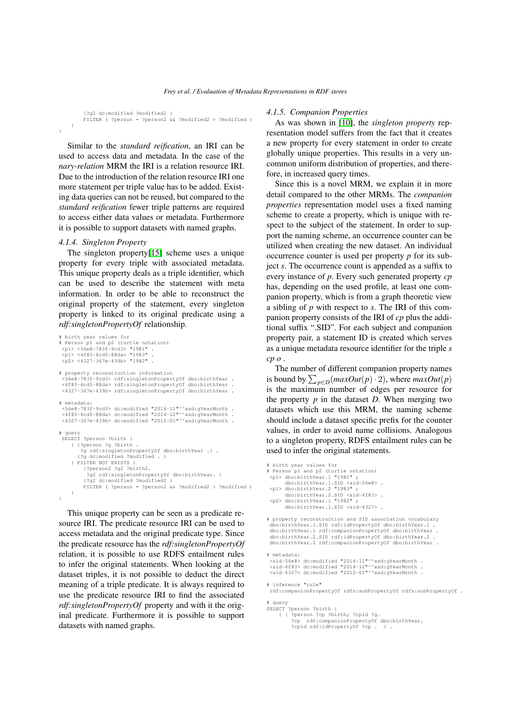```
{?g2 dc:modified ?modified2 }
    FILTER ( ?person = ?person2 && ?modified2 > ?modified )
}
```
Similar to the *standard reification*, an IRI can be used to access data and metadata. In the case of the *nary-relation* MRM the IRI is a relation resource IRI. Due to the introduction of the relation resource IRI one more statement per triple value has to be added. Existing data queries can not be reused, but compared to the *standard reification* fewer triple patterns are required to access either data values or metadata. Furthermore it is possible to support datasets with named graphs.

### *4.1.4. Singleton Property*

}

The singleton property[\[15\]](#page-23-0) scheme uses a unique property for every triple with associated metadata. This unique property deals as a triple identifier, which can be used to describe the statement with meta information. In order to be able to reconstruct the original property of the statement, every singleton property is linked to its original predicate using a *rdf:singletonPropertyOf* relationship.

```
# birth year values for
# Person p1 and p2 (turtle notation)
 <p1> <56e8-783f-9cd3> "1981" .
<p1> <4f83-6cd5-88da> "1983" .
 <sub>p2</sub> <sub>4327-367e-439b> "1982"</sub>
# property reconstruction information
<56e8-783f-9cd3> rdf:singletonPropertyOf dbo:birthYear .
<4f83-6cd5-88da> rdf:singletonPropertyOf dbo:birthYear .
 <4327-367e-439b> rdf:singletonPropertyOf dbo:birthYear .
# metadata:
<56e8-783f-9cd3> dc:modified "2016-11"^^xsd:gYearMonth .
<4f83-6cd5-88da> dc:modified "2014-12"^^xsd:gYearMonth .
<4327-367e-439b> dc:modified "2012-01"^^xsd:gYearMonth .
# query
SELECT ?person ?birth {
     { {?person ?g ?birth .
           ?g rdf:singletonPropertyOf dbo:birthYear .} .
         {?g dc:modified ?modified . }
      } FILTER NOT EXISTS {
            {?person2 ?g2 ?birth2.
?g2 rdf:singletonPropertyOf dbo:birthYear. }
                   {?g2 dc:modified ?modified2 }
            FILTER ( ?person = ?person2 && ?modified2 > ?modified )
      }
}
```
This unique property can be seen as a predicate resource IRI. The predicate resource IRI can be used to access metadata and the original predicate type. Since the predicate resource has the *rdf:singletonPropertyOf* relation, it is possible to use RDFS entailment rules to infer the original statements. When looking at the dataset triples, it is not possible to deduct the direct meaning of a triple predicate. It is always required to use the predicate resource IRI to find the associated *rdf:singletonPropertyOf* property and with it the original predicate. Furthermore it is possible to support datasets with named graphs.

### <span id="page-8-0"></span>*4.1.5. Companion Properties*

As was shown in [\[10\]](#page-22-2), the *singleton property* representation model suffers from the fact that it creates a new property for every statement in order to create globally unique properties. This results in a very uncommon uniform distribution of properties, and therefore, in increased query times.

Since this is a novel MRM, we explain it in more detail compared to the other MRMs. The *companion properties* representation model uses a fixed naming scheme to create a property, which is unique with respect to the subject of the statement. In order to support the naming scheme, an occurrence counter can be utilized when creating the new dataset. An individual occurrence counter is used per property *p* for its subject *s*. The occurrence count is appended as a suffix to every instance of *p*. Every such generated property *cp* has, depending on the used profile, at least one companion property, which is from a graph theoretic view a sibling of *p* with respect to *s*. The IRI of this companion property consists of the IRI of *cp* plus the additional suffix ".SID". For each subject and companion property pair, a statement ID is created which serves as a unique metadata resource identifier for the triple *s cp o* .

The number of different companion property names is bound by  $\sum_{p \in D} (maxOut(p) \cdot 2)$ , where  $maxOut(p)$ is the maximum number of edges per resource for the property  $p$  in the dataset  $D$ . When merging two datasets which use this MRM, the naming scheme should include a dataset specific prefix for the counter values, in order to avoid name collisions. Analogous to a singleton property, RDFS entailment rules can be used to infer the original statements.

```
# birth year values for
# Person p1 and p2 (turtle notation)
 <p1> dbo:birthYear.1 "1981"
      dbo:birthYear.1.SID <sid-56e8> .
 <p1> dbo:birthYear.2 "1983" ;
dbo:birthYear.2.SID <sid-4f83> .
 <p2> dbo:birthYear.1 "1982"
       dbo:birthYear.1.SID <sid-4327> .
# property reconstruction and SID association vocabulary
 dbo:birthYear.1.SID rdf:idPropertyOf dbo:birthYear.1 .
 dbo:birthYear.1 rdf:companionPropertyOf dbo:birthYear .
 dbo:birthYear.2.SID rdf:idPropertyOf dbo:birthYear.2 .
 dbo:birthYear.2 rdf:companionPropertyOf dbo:birthYear .
# metadata:
 <sid-56e8> dc:modified "2016-11"^^xsd:gYearMonth .
<sid-4f83> dc:modified "2014-12"^^xsd:gYearMonth .
 <sid-4327> dc:modified "2012-01"^^xsd:gYearMonth .
# inference "rule"
 rdf:companionPropertyOf rdfs:subPropertyOf rdfs:subPropertyOf .
# query
SELECT ?person ?birth {
{ { ?person ?cp ?birth; ?cpid ?g.
```

```
?cp rdf:companionPropertyOf dbo:birthYear.
?cpid rdf:idPropertyOf ?cp . } .
```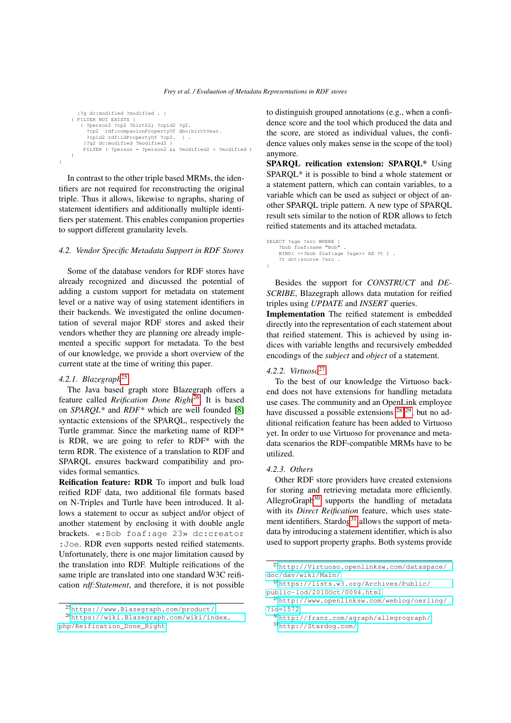```
{?g dc:modified ?modified . }
} FILTER NOT EXISTS {
   { ?person2 ?cp2 ?birth2; ?cpid2 ?g2.
      ?cp2 rdf:companionPropertyOf dbo:birthYear.
?cpid2 rdf:idPropertyOf ?cp2. } .
         dc:modified ?modified2 }
    FILTER ( ?person = ?person2 && ?modified2 > ?modified )
}
```
In contrast to the other triple based MRMs, the identifiers are not required for reconstructing the original triple. Thus it allows, likewise to ngraphs, sharing of statement identifiers and additionally multiple identifiers per statement. This enables companion properties to support different granularity levels.

# *4.2. Vendor Specific Metadata Support in RDF Stores*

Some of the database vendors for RDF stores have already recognized and discussed the potential of adding a custom support for metadata on statement level or a native way of using statement identifiers in their backends. We investigated the online documentation of several major RDF stores and asked their vendors whether they are planning ore already implemented a specific support for metadata. To the best of our knowledge, we provide a short overview of the current state at the time of writing this paper.

### *4.2.1. Blazegraph*[25](#page-9-0)

}

The Java based graph store Blazegraph offers a feature called *Reification Done Right*<sup>[26](#page-9-1)</sup>. It is based on *SPARQL\** and *RDF\** which are well founded [\[8\]](#page-22-11) syntactic extensions of the SPARQL, respectively the Turtle grammar. Since the marketing name of RDF\* is RDR, we are going to refer to RDF\* with the term RDR. The existence of a translation to RDF and SPARQL ensures backward compatibility and provides formal semantics.

Reification feature: RDR To import and bulk load reified RDF data, two additional file formats based on N-Triples and Turtle have been introduced. It allows a statement to occur as subject and/or object of another statement by enclosing it with double angle brackets. «:Bob foaf:age 23» dc:creator :Joe. RDR even supports nested reified statements. Unfortunately, there is one major limitation caused by the translation into RDF. Multiple reifications of the same triple are translated into one standard W3C reification *rdf:Statement*, and therefore, it is not possible to distinguish grouped annotations (e.g., when a confidence score and the tool which produced the data and the score, are stored as individual values, the confidence values only makes sense in the scope of the tool) anymore.

SPARQL reification extension: SPARQL\* Using SPARQL\* it is possible to bind a whole statement or a statement pattern, which can contain variables, to a variable which can be used as subject or object of another SPARQL triple pattern. A new type of SPARQL result sets similar to the notion of RDR allows to fetch reified statements and its attached metadata.

```
SELECT ?age ?src WHERE {
      ?bob foaf:name "Bob" .<br>BIND( <<?bob foaf:age ?age>> AS ?t ) .
      ?t dct:source ?src .
}
```
Besides the support for *CONSTRUCT* and *DE-SCRIBE*, Blazegraph allows data mutation for reified triples using *UPDATE* and *INSERT* queries.

Implementation The reified statement is embedded directly into the representation of each statement about that reified statement. This is achieved by using indices with variable lengths and recursively embedded encodings of the *subject* and *object* of a statement.

# *4.2.2. Virtuoso*[27](#page-9-2)

To the best of our knowledge the Virtuoso backend does not have extensions for handling metadata use cases. The community and an OpenLink employee have discussed a possible extensions <sup>[28](#page-9-3)</sup> <sup>29</sup>, but no additional reification feature has been added to Virtuoso yet. In order to use Virtuoso for provenance and metadata scenarios the RDF-compatible MRMs have to be utilized.

# *4.2.3. Others*

Other RDF store providers have created extensions for storing and retrieving metadata more efficiently. AllegroGraph $30$  supports the handling of metadata with its *Direct Reification* feature, which uses state-ment identifiers. Stardog<sup>[31](#page-9-6)</sup> allows the support of metadata by introducing a statement identifier, which is also used to support property graphs. Both systems provide

<span id="page-9-1"></span><span id="page-9-0"></span><sup>25</sup><https://www.Blazegraph.com/product/> <sup>26</sup>[https://wiki.Blazegraph.com/wiki/index.](https://wiki.Blazegraph.com/wiki/index.php/Reification_Done_Right) [php/Reification\\_Done\\_Right](https://wiki.Blazegraph.com/wiki/index.php/Reification_Done_Right)

<span id="page-9-2"></span><sup>27</sup>[http://Virtuoso.openlinksw.com/dataspace/](http://Virtuoso.openlinksw.com/dataspace/doc/dav/wiki/Main/) [doc/dav/wiki/Main/](http://Virtuoso.openlinksw.com/dataspace/doc/dav/wiki/Main/)

<span id="page-9-3"></span><sup>28</sup>[https://lists.w3.org/Archives/Public/](https://lists.w3.org/Archives/Public/public-lod/2010Oct/0094.html) [public-lod/2010Oct/0094.html](https://lists.w3.org/Archives/Public/public-lod/2010Oct/0094.html)

<span id="page-9-4"></span><sup>29</sup>[http://www.openlinksw.com/weblog/oerling/](http://www.openlinksw.com/weblog/oerling/?id=1572) [?id=1572](http://www.openlinksw.com/weblog/oerling/?id=1572)

<span id="page-9-6"></span><span id="page-9-5"></span><sup>30</sup><http://franz.com/agraph/allegrograph/> <sup>31</sup><http://Stardog.com/>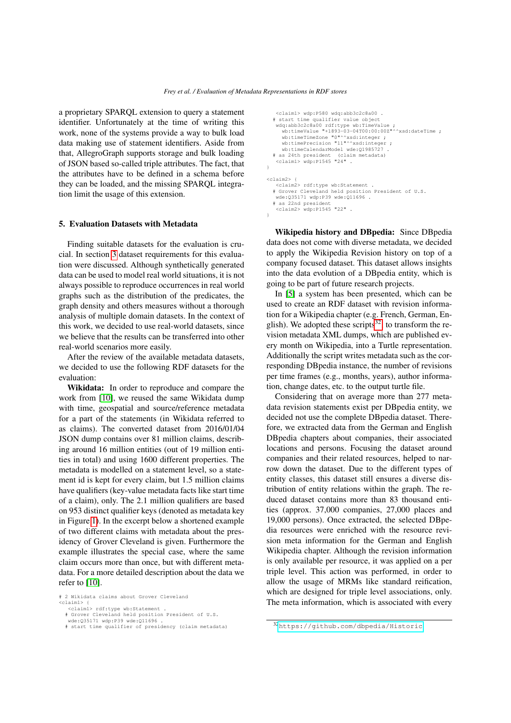a proprietary SPARQL extension to query a statement identifier. Unfortunately at the time of writing this work, none of the systems provide a way to bulk load data making use of statement identifiers. Aside from that, AllegroGraph supports storage and bulk loading of JSON based so-called triple attributes. The fact, that the attributes have to be defined in a schema before they can be loaded, and the missing SPARQL integration limit the usage of this extension.

### <span id="page-10-0"></span>5. Evaluation Datasets with Metadata

Finding suitable datasets for the evaluation is crucial. In section [3](#page-3-0) dataset requirements for this evaluation were discussed. Although synthetically generated data can be used to model real world situations, it is not always possible to reproduce occurrences in real world graphs such as the distribution of the predicates, the graph density and others measures without a thorough analysis of multiple domain datasets. In the context of this work, we decided to use real-world datasets, since we believe that the results can be transferred into other real-world scenarios more easily.

After the review of the available metadata datasets, we decided to use the following RDF datasets for the evaluation:

Wikidata: In order to reproduce and compare the work from [\[10\]](#page-22-2), we reused the same Wikidata dump with time, geospatial and source/reference metadata for a part of the statements (in Wikidata referred to as claims). The converted dataset from 2016/01/04 JSON dump contains over 81 million claims, describing around 16 million entities (out of 19 million entities in total) and using 1600 different properties. The metadata is modelled on a statement level, so a statement id is kept for every claim, but 1.5 million claims have qualifiers (key-value metadata facts like start time of a claim), only. The 2.1 million qualifiers are based on 953 distinct qualifier keys (denoted as metadata key in Figure [1\)](#page-1-2). In the excerpt below a shortened example of two different claims with metadata about the presidency of Grover Cleveland is given. Furthermore the example illustrates the special case, where the same claim occurs more than once, but with different metadata. For a more detailed description about the data we refer to [\[10\]](#page-22-2).

# 2 Wikidata claims about Grover Cleveland <claim1> {

```
<claim1> rdf:type wb:Statement .
# Grover Cleveland held position President of U.S.
```

```
wde:Q35171 wdp:P39 wde:Q11696 .
# start time qualifier of presidency (claim metadata)
```

```
<claim1> wdp:P580 wdq:abb3c2c8a00 .
  # start time qualifier value object
    wdq:abb3c2c8a00 rdf:type wb:TimeValue ;
      wb:timeValue "+1893-03-04T00:00:00Z"^^xsd:dateTime ;<br>wb:timeTimeZone "0"^^xsd:integer ;<br>wb:timePrecision "11"^^xsd:integer ;
       wb:timeCalendarModel wde:Q1985727
   # as 24th president (claim metadata)
<claim1> wdp:P1545 "24" .
}
<claim2> {
    <claim2> rdf:type wb:Statement .
  # Grover Cleveland held position President of U.S.
    wde:Q35171 wdp:P39 wde:Q11696 .
  # as 22nd president
    <claim2> wdp:P1545 "22" .
}
```
Wikipedia history and DBpedia: Since DBpedia data does not come with diverse metadata, we decided to apply the Wikipedia Revision history on top of a company focused dataset. This dataset allows insights into the data evolution of a DBpedia entity, which is going to be part of future research projects.

In [\[5\]](#page-22-12) a system has been presented, which can be used to create an RDF dataset with revision information for a Wikipedia chapter (e.g. French, German, English). We adopted these scripts $^{32}$  $^{32}$  $^{32}$ , to transform the revision metadata XML dumps, which are published every month on Wikipedia, into a Turtle representation. Additionally the script writes metadata such as the corresponding DBpedia instance, the number of revisions per time frames (e.g., months, years), author information, change dates, etc. to the output turtle file.

Considering that on average more than 277 metadata revision statements exist per DBpedia entity, we decided not use the complete DBpedia dataset. Therefore, we extracted data from the German and English DBpedia chapters about companies, their associated locations and persons. Focusing the dataset around companies and their related resources, helped to narrow down the dataset. Due to the different types of entity classes, this dataset still ensures a diverse distribution of entity relations within the graph. The reduced dataset contains more than 83 thousand entities (approx. 37,000 companies, 27,000 places and 19,000 persons). Once extracted, the selected DBpedia resources were enriched with the resource revision meta information for the German and English Wikipedia chapter. Although the revision information is only available per resource, it was applied on a per triple level. This action was performed, in order to allow the usage of MRMs like standard reification, which are designed for triple level associations, only. The meta information, which is associated with every

<span id="page-10-1"></span><sup>32</sup><https://github.com/dbpedia/Historic>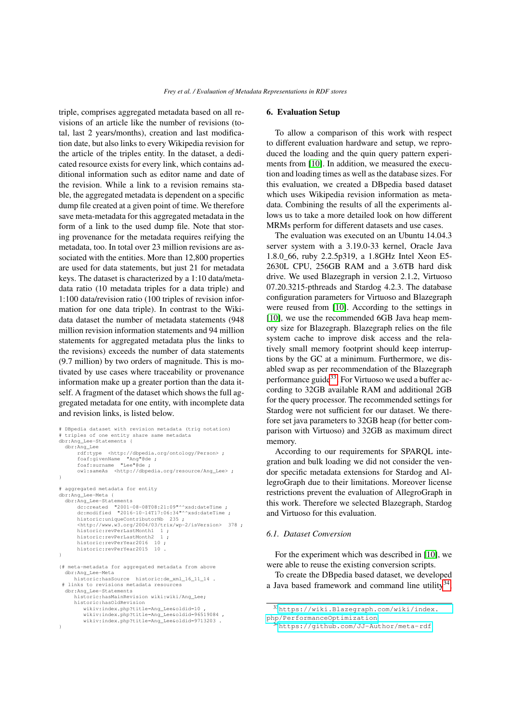triple, comprises aggregated metadata based on all revisions of an article like the number of revisions (total, last 2 years/months), creation and last modification date, but also links to every Wikipedia revision for the article of the triples entity. In the dataset, a dedicated resource exists for every link, which contains additional information such as editor name and date of the revision. While a link to a revision remains stable, the aggregated metadata is dependent on a specific dump file created at a given point of time. We therefore save meta-metadata for this aggregated metadata in the form of a link to the used dump file. Note that storing provenance for the metadata requires reifying the metadata, too. In total over 23 million revisions are associated with the entities. More than 12,800 properties are used for data statements, but just 21 for metadata keys. The dataset is characterized by a 1:10 data/metadata ratio (10 metadata triples for a data triple) and 1:100 data/revision ratio (100 triples of revision information for one data triple). In contrast to the Wikidata dataset the number of metadata statements (948 million revision information statements and 94 million statements for aggregated metadata plus the links to the revisions) exceeds the number of data statements (9.7 million) by two orders of magnitude. This is motivated by use cases where traceability or provenance information make up a greater portion than the data itself. A fragment of the dataset which shows the full aggregated metadata for one entity, with incomplete data and revision links, is listed below.

```
DBpedia dataset with revision metadata (trig notation)
# triples of one entity share same metadata
dbr:Ang_Lee-Statements {
  dbr:Ang_Lee
       rdf:type <http://dbpedia.org/ontology/Person> ;
       foaf:givenName "Ang"@de ;
foaf:surname "Lee"@de ;
       owl:sameAs <http://dbpedia.org/resource/Ang_Lee> ;
}
# aggregated metadata for entity
dbr:Ang_Lee-Meta {
  dbr:Ang_Lee-Statements
dc:created "2001-08-08T08:21:09"^^xsd:dateTime ;
dc:modified "2016-10-14T17:06:34"^^xsd:dateTime ;
       historic:uniqueContributorNb 235 ;
        <http://www.w3.org/2004/03/trix/wp-2/isVersion> 378 ;
       historic:revPerLastMonth1 1 ;
historic:revPerLastMonth2 1 ;
       historic:revPerYear2016 10 ;
       historic:revPerYear2015 10
}
{# meta-metadata for aggregated metadata from above
  dbr:Ang_Lee-Meta
      historic:hasSource historic:de_xml_16_11_14 .
 # links to revisions metadata resources
dbr:Ang_Lee-Statements
      historic:hasMainRevision wiki:wiki/Ang_Lee;
      historic:hasOldRevision
```
# wikiv:index.php?title=Ang\_Lee&oldid=10 , wikiv:index.php?title=Ang\_Lee&oldid=96519084 , wikiv:index.php?title=Ang\_Lee&oldid=9713203 .

}

# <span id="page-11-0"></span>6. Evaluation Setup

To allow a comparison of this work with respect to different evaluation hardware and setup, we reproduced the loading and the quin query pattern experiments from [\[10\]](#page-22-2). In addition, we measured the execution and loading times as well as the database sizes. For this evaluation, we created a DBpedia based dataset which uses Wikipedia revision information as metadata. Combining the results of all the experiments allows us to take a more detailed look on how different MRMs perform for different datasets and use cases.

The evaluation was executed on an Ubuntu 14.04.3 server system with a 3.19.0-33 kernel, Oracle Java 1.8.0\_66, ruby 2.2.5p319, a 1.8GHz Intel Xeon E5- 2630L CPU, 256GB RAM and a 3.6TB hard disk drive. We used Blazegraph in version 2.1.2, Virtuoso 07.20.3215-pthreads and Stardog 4.2.3. The database configuration parameters for Virtuoso and Blazegraph were reused from [\[10\]](#page-22-2). According to the settings in [\[10\]](#page-22-2), we use the recommended 6GB Java heap memory size for Blazegraph. Blazegraph relies on the file system cache to improve disk access and the relatively small memory footprint should keep interruptions by the GC at a minimum. Furthermore, we disabled swap as per recommendation of the Blazegraph performance guide<sup>[33](#page-11-1)</sup>. For Virtuoso we used a buffer according to 32GB available RAM and additional 2GB for the query processor. The recommended settings for Stardog were not sufficient for our dataset. We therefore set java parameters to 32GB heap (for better comparison with Virtuoso) and 32GB as maximum direct memory.

According to our requirements for SPARQL integration and bulk loading we did not consider the vendor specific metadata extensions for Stardog and AllegroGraph due to their limitations. Moreover license restrictions prevent the evaluation of AllegroGraph in this work. Therefore we selected Blazegraph, Stardog and Virtuoso for this evaluation.

# *6.1. Dataset Conversion*

For the experiment which was described in [\[10\]](#page-22-2), we were able to reuse the existing conversion scripts.

To create the DBpedia based dataset, we developed a Java based framework and command line utility $34$ ,

```
33https://wiki.Blazegraph.com/wiki/index.
php/PerformanceOptimization
  34https://github.com/JJ-Author/meta-rdf
```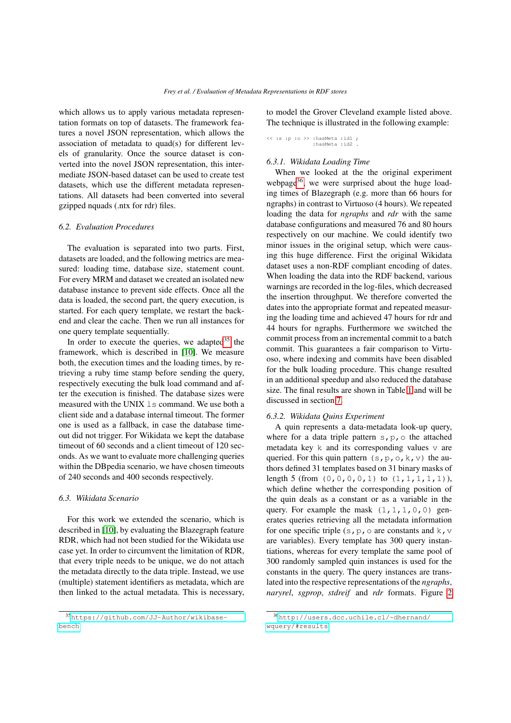which allows us to apply various metadata representation formats on top of datasets. The framework features a novel JSON representation, which allows the association of metadata to quad(s) for different levels of granularity. Once the source dataset is converted into the novel JSON representation, this intermediate JSON-based dataset can be used to create test datasets, which use the different metadata representations. All datasets had been converted into several gzipped nquads (.ntx for rdr) files.

# *6.2. Evaluation Procedures*

The evaluation is separated into two parts. First, datasets are loaded, and the following metrics are measured: loading time, database size, statement count. For every MRM and dataset we created an isolated new database instance to prevent side effects. Once all the data is loaded, the second part, the query execution, is started. For each query template, we restart the backend and clear the cache. Then we run all instances for one query template sequentially.

In order to execute the queries, we adapted  $35$  the framework, which is described in [\[10\]](#page-22-2). We measure both, the execution times and the loading times, by retrieving a ruby time stamp before sending the query, respectively executing the bulk load command and after the execution is finished. The database sizes were measured with the UNIX  $\perp$  s command. We use both a client side and a database internal timeout. The former one is used as a fallback, in case the database timeout did not trigger. For Wikidata we kept the database timeout of 60 seconds and a client timeout of 120 seconds. As we want to evaluate more challenging queries within the DBpedia scenario, we have chosen timeouts of 240 seconds and 400 seconds respectively.

### *6.3. Wikidata Scenario*

For this work we extended the scenario, which is described in [\[10\]](#page-22-2), by evaluating the Blazegraph feature RDR, which had not been studied for the Wikidata use case yet. In order to circumvent the limitation of RDR, that every triple needs to be unique, we do not attach the metadata directly to the data triple. Instead, we use (multiple) statement identifiers as metadata, which are then linked to the actual metadata. This is necessary, to model the Grover Cleveland example listed above. The technique is illustrated in the following example:

<< :s :p :o >> :hasMeta :id1 ; :hasMeta :id2

# *6.3.1. Wikidata Loading Time*

When we looked at the the original experiment webpage<sup>[36](#page-12-1)</sup>, we were surprised about the huge loading times of Blazegraph (e.g. more than 66 hours for ngraphs) in contrast to Virtuoso (4 hours). We repeated loading the data for *ngraphs* and *rdr* with the same database configurations and measured 76 and 80 hours respectively on our machine. We could identify two minor issues in the original setup, which were causing this huge difference. First the original Wikidata dataset uses a non-RDF compliant encoding of dates. When loading the data into the RDF backend, various warnings are recorded in the log-files, which decreased the insertion throughput. We therefore converted the dates into the appropriate format and repeated measuring the loading time and achieved 47 hours for rdr and 44 hours for ngraphs. Furthermore we switched the commit process from an incremental commit to a batch commit. This guarantees a fair comparison to Virtuoso, where indexing and commits have been disabled for the bulk loading procedure. This change resulted in an additional speedup and also reduced the database size. The final results are shown in Table [1](#page-13-0) and will be discussed in section [7.](#page-15-0)

# *6.3.2. Wikidata Quins Experiment*

A quin represents a data-metadata look-up query, where for a data triple pattern  $s, p, o$  the attached metadata key  $k$  and its corresponding values  $\nu$  are queried. For this quin pattern  $(s, p, o, k, v)$  the authors defined 31 templates based on 31 binary masks of length 5 (from  $(0, 0, 0, 0, 1)$  to  $(1, 1, 1, 1, 1)$ ), which define whether the corresponding position of the quin deals as a constant or as a variable in the query. For example the mask  $(1, 1, 1, 0, 0)$  generates queries retrieving all the metadata information for one specific triple (s, p, o are constants and k,  $\nu$ are variables). Every template has 300 query instantiations, whereas for every template the same pool of 300 randomly sampled quin instances is used for the constants in the query. The query instances are translated into the respective representations of the *ngraphs*, *naryrel*, *sgprop*, *stdreif* and *rdr* formats. Figure [2](#page-17-0)

<span id="page-12-0"></span><sup>35</sup>[https://github.com/JJ-Author/wikibase](https://github.com/JJ-Author/wikibase-bench)[bench](https://github.com/JJ-Author/wikibase-bench)

<span id="page-12-1"></span><sup>36</sup>[http://users.dcc.uchile.cl/~dhernand/](http://users.dcc.uchile.cl/~dhernand/wquery/#results) [wquery/#results](http://users.dcc.uchile.cl/~dhernand/wquery/#results)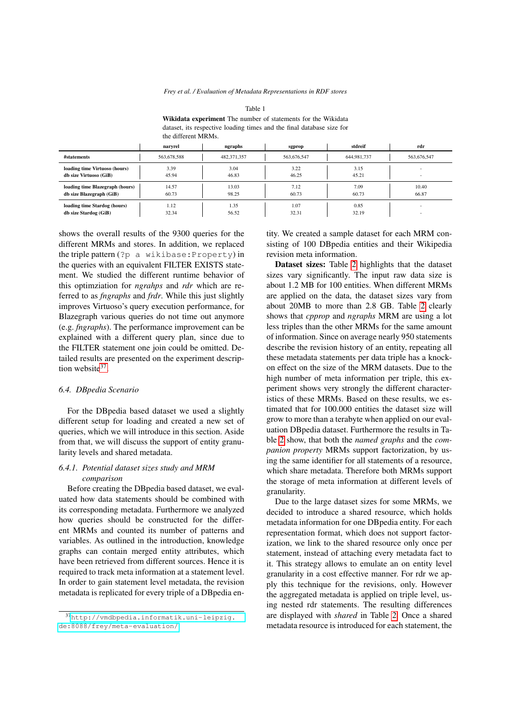| <b>Wikidata experiment</b> The number of statements for the Wikidata  |
|-----------------------------------------------------------------------|
| dataset, its respective loading times and the final database size for |
| the different MRMs.                                                   |

<span id="page-13-0"></span>

|                                 | narvrel     | ngraphs     | sgprop      | stdreif       | rdr         |  |
|---------------------------------|-------------|-------------|-------------|---------------|-------------|--|
| #statements                     | 563,678,588 | 482.371.357 | 563,676,547 | 644, 981, 737 | 563,676,547 |  |
| loading time Virtuoso (hours)   | 3.39        | 3.04        | 3.22        | 3.15          |             |  |
| db size Virtuoso (GiB)          | 45.94       | 46.83       | 46.25       | 45.21         |             |  |
| loading time Blazegraph (hours) | 14.57       | 13.03       | 7.12        | 7.09          | 10.40       |  |
| db size Blazegraph (GiB)        | 60.73       | 98.25       | 60.73       | 60.73         | 66.87       |  |
| loading time Stardog (hours)    | 1.12        | 1.35        | 1.07        | 0.85          |             |  |
| db size Stardog (GiB)           | 32.34       | 56.52       | 32.31       | 32.19         |             |  |

shows the overall results of the 9300 queries for the different MRMs and stores. In addition, we replaced the triple pattern (?p a wikibase:Property) in the queries with an equivalent FILTER EXISTS statement. We studied the different runtime behavior of this optimziation for *ngrahps* and *rdr* which are referred to as *fngraphs* and *frdr*. While this just slightly improves Virtuoso's query execution performance, for Blazegraph various queries do not time out anymore (e.g. *fngraphs*). The performance improvement can be explained with a different query plan, since due to the FILTER statement one join could be omitted. Detailed results are presented on the experiment description website $37$ .

# *6.4. DBpedia Scenario*

For the DBpedia based dataset we used a slightly different setup for loading and created a new set of queries, which we will introduce in this section. Aside from that, we will discuss the support of entity granularity levels and shared metadata.

# *6.4.1. Potential dataset sizes study and MRM comparison*

Before creating the DBpedia based dataset, we evaluated how data statements should be combined with its corresponding metadata. Furthermore we analyzed how queries should be constructed for the different MRMs and counted its number of patterns and variables. As outlined in the introduction, knowledge graphs can contain merged entity attributes, which have been retrieved from different sources. Hence it is required to track meta information at a statement level. In order to gain statement level metadata, the revision metadata is replicated for every triple of a DBpedia entity. We created a sample dataset for each MRM consisting of 100 DBpedia entities and their Wikipedia revision meta information.

Dataset sizes: Table [2](#page-14-0) highlights that the dataset sizes vary significantly. The input raw data size is about 1.2 MB for 100 entities. When different MRMs are applied on the data, the dataset sizes vary from about 20MB to more than 2.8 GB. Table [2](#page-14-0) clearly shows that *cpprop* and *ngraphs* MRM are using a lot less triples than the other MRMs for the same amount of information. Since on average nearly 950 statements describe the revision history of an entity, repeating all these metadata statements per data triple has a knockon effect on the size of the MRM datasets. Due to the high number of meta information per triple, this experiment shows very strongly the different characteristics of these MRMs. Based on these results, we estimated that for 100.000 entities the dataset size will grow to more than a terabyte when applied on our evaluation DBpedia dataset. Furthermore the results in Table [2](#page-14-0) show, that both the *named graphs* and the *companion property* MRMs support factorization, by using the same identifier for all statements of a resource, which share metadata. Therefore both MRMs support the storage of meta information at different levels of granularity.

Due to the large dataset sizes for some MRMs, we decided to introduce a shared resource, which holds metadata information for one DBpedia entity. For each representation format, which does not support factorization, we link to the shared resource only once per statement, instead of attaching every metadata fact to it. This strategy allows to emulate an on entity level granularity in a cost effective manner. For rdr we apply this technique for the revisions, only. However the aggregated metadata is applied on triple level, using nested rdr statements. The resulting differences are displayed with *shared* in Table [2.](#page-14-0) Once a shared metadata resource is introduced for each statement, the

<span id="page-13-1"></span><sup>37</sup>[http://vmdbpedia.informatik.uni-leipzig.](http://vmdbpedia.informatik.uni-leipzig.de:8088/frey/meta-evaluation/) [de:8088/frey/meta-evaluation/](http://vmdbpedia.informatik.uni-leipzig.de:8088/frey/meta-evaluation/)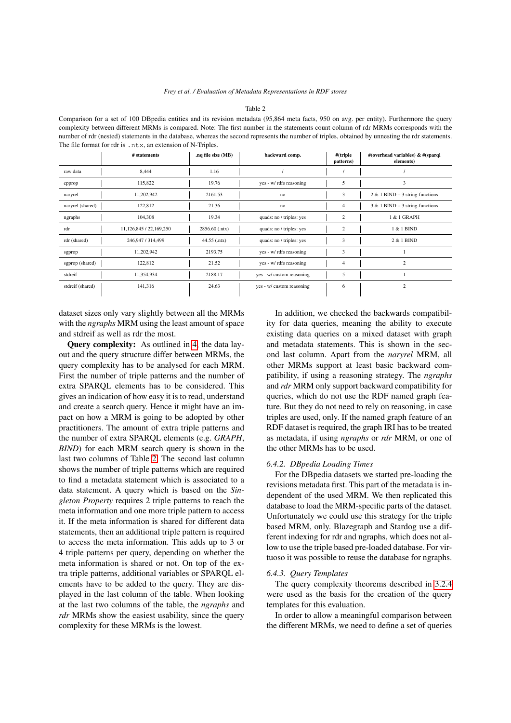#### Table 2

<span id="page-14-0"></span>Comparison for a set of 100 DBpedia entities and its revision metadata (95,864 meta facts, 950 on avg. per entity). Furthermore the query complexity between different MRMs is compared. Note: The first number in the statements count column of rdr MRMs corresponds with the number of rdr (nested) statements in the database, whereas the second represents the number of triples, obtained by unnesting the rdr statements. The file format for rdr is .ntx, an extension of N-Triples.

|                  | # statements            | .nq file size (MB) | backward comp.            | #(triple<br>patterns) | #(overhead variables) & #(sparql<br>elements) |
|------------------|-------------------------|--------------------|---------------------------|-----------------------|-----------------------------------------------|
| raw data         | 8,444                   | 1.16               |                           |                       |                                               |
| cpprop           | 115,822                 | 19.76              | yes - w/ rdfs reasoning   | 5                     | 3                                             |
| naryrel          | 11,202,942              | 2161.53            | no                        | 3                     | $2 & 1$ BIND + 3 string-functions             |
| naryrel (shared) | 122,812                 | 21.36              | no                        | 4                     | $3 & 1$ BIND + 3 string-functions             |
| ngraphs          | 104,308                 | 19.34              | quads: no / triples: yes  | 2                     | 1 & 1 GRAPH                                   |
| rdr              | 11,126,845 / 22,169,250 | $2856.60$ (.ntx)   | quads: no / triples: yes  | 2                     | 1 & 1 BIND                                    |
| rdr (shared)     | 246,947 / 314,499       | $44.55$ (.ntx)     | quads: no / triples: yes  | 3                     | 2 & 1 BIND                                    |
| sgprop           | 11,202,942              | 2193.75            | yes - w/ rdfs reasoning   | 3                     |                                               |
| sgprop (shared)  | 122,812                 | 21.52              | yes - w/ rdfs reasoning   | 4                     | 2                                             |
| stdreif          | 11,354,934              | 2188.17            | yes - w/ custom reasoning | 5                     |                                               |
| stdreif (shared) | 141,316                 | 24.63              | yes - w/ custom reasoning | 6                     | 2                                             |

dataset sizes only vary slightly between all the MRMs with the *ngraphs* MRM using the least amount of space and stdreif as well as rdr the most.

Query complexity: As outlined in [4,](#page-6-0) the data layout and the query structure differ between MRMs, the query complexity has to be analysed for each MRM. First the number of triple patterns and the number of extra SPARQL elements has to be considered. This gives an indication of how easy it is to read, understand and create a search query. Hence it might have an impact on how a MRM is going to be adopted by other practitioners. The amount of extra triple patterns and the number of extra SPARQL elements (e.g. *GRAPH*, *BIND*) for each MRM search query is shown in the last two columns of Table [2.](#page-14-0) The second last column shows the number of triple patterns which are required to find a metadata statement which is associated to a data statement. A query which is based on the *Singleton Property* requires 2 triple patterns to reach the meta information and one more triple pattern to access it. If the meta information is shared for different data statements, then an additional triple pattern is required to access the meta information. This adds up to 3 or 4 triple patterns per query, depending on whether the meta information is shared or not. On top of the extra triple patterns, additional variables or SPARQL elements have to be added to the query. They are displayed in the last column of the table. When looking at the last two columns of the table, the *ngraphs* and *rdr* MRMs show the easiest usability, since the query complexity for these MRMs is the lowest.

In addition, we checked the backwards compatibility for data queries, meaning the ability to execute existing data queries on a mixed dataset with graph and metadata statements. This is shown in the second last column. Apart from the *naryrel* MRM, all other MRMs support at least basic backward compatibility, if using a reasoning strategy. The *ngraphs* and *rdr* MRM only support backward compatibility for queries, which do not use the RDF named graph feature. But they do not need to rely on reasoning, in case triples are used, only. If the named graph feature of an RDF dataset is required, the graph IRI has to be treated as metadata, if using *ngraphs* or *rdr* MRM, or one of the other MRMs has to be used.

### *6.4.2. DBpedia Loading Times*

For the DBpedia datasets we started pre-loading the revisions metadata first. This part of the metadata is independent of the used MRM. We then replicated this database to load the MRM-specific parts of the dataset. Unfortunately we could use this strategy for the triple based MRM, only. Blazegraph and Stardog use a different indexing for rdr and ngraphs, which does not allow to use the triple based pre-loaded database. For virtuoso it was possible to reuse the database for ngraphs.

# *6.4.3. Query Templates*

The query complexity theorems described in [3.2.4](#page-6-1) were used as the basis for the creation of the query templates for this evaluation.

In order to allow a meaningful comparison between the different MRMs, we need to define a set of queries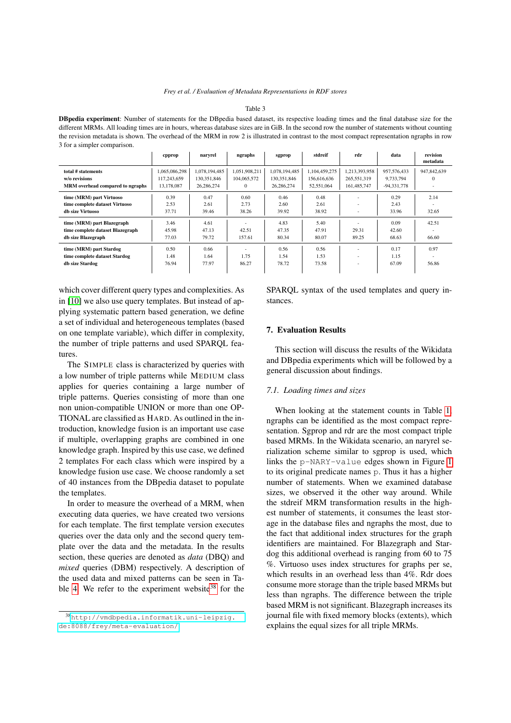### Table 3

<span id="page-15-2"></span>DBpedia experiment: Number of statements for the DBpedia based dataset, its respective loading times and the final database size for the different MRMs. All loading times are in hours, whereas database sizes are in GiB. In the second row the number of statements without counting the revision metadata is shown. The overhead of the MRM in row 2 is illustrated in contrast to the most compact representation ngraphs in row 3 for a simpler comparison.

|                                  | cpprop        | narvrel       | ngraphs       | sgprop        | stdreif       | rdr           | data          | revision<br>metadata |
|----------------------------------|---------------|---------------|---------------|---------------|---------------|---------------|---------------|----------------------|
| total # statements               | 1,065,086,298 | 1,078,194,485 | 1,051,908,211 | 1,078,194,485 | 1,104,459,275 | 1,213,393,958 | 957,576,433   | 947,842,639          |
| w/o revisions                    | 117.243.659   | 130.351.846   | 104,065,572   | 130.351.846   | 156,616,636   | 265,551,319   | 9,733,794     | $\Omega$             |
| MRM overhead compared to ngraphs | 13,178,087    | 26,286,274    | $\mathbf{0}$  | 26,286,274    | 52,551,064    | 161,485,747   | $-94,331,778$ |                      |
| time (MRM) part Virtuoso         | 0.39          | 0.47          | 0.60          | 0.46          | 0.48          |               | 0.29          | 2.14                 |
| time complete dataset Virtuoso   | 2.53          | 2.61          | 2.73          | 2.60          | 2.61          |               | 2.43          |                      |
| db size Virtuoso                 | 37.71         | 39.46         | 38.26         | 39.92         | 38.92         |               | 33.96         | 32.65                |
| time (MRM) part Blazegraph       | 3.46          | 4.61          |               | 4.83          | 5.40          |               | 0.09          | 42.51                |
| time complete dataset Blazegraph | 45.98         | 47.13         | 42.51         | 47.35         | 47.91         | 29.31         | 42.60         |                      |
| db size Blazegraph               | 77.03         | 79.72         | 157.61        | 80.34         | 80.07         | 89.25         | 68.63         | 66.60                |
| time (MRM) part Stardog          | 0.50          | 0.66          |               | 0.56          | 0.56          |               | 0.17          | 0.97                 |
| time complete dataset Stardog    | 1.48          | 1.64          | 1.75          | 1.54          | 1.53          |               | 1.15          |                      |
| db size Stardog                  | 76.94         | 77.97         | 86.27         | 78.72         | 73.58         |               | 67.09         | 56.86                |
|                                  |               |               |               |               |               |               |               |                      |

which cover different query types and complexities. As in [\[10\]](#page-22-2) we also use query templates. But instead of applying systematic pattern based generation, we define a set of individual and heterogeneous templates (based on one template variable), which differ in complexity, the number of triple patterns and used SPARQL features.

The SIMPLE class is characterized by queries with a low number of triple patterns while MEDIUM class applies for queries containing a large number of triple patterns. Queries consisting of more than one non union-compatible UNION or more than one OP-TIONAL are classified as HARD. As outlined in the introduction, knowledge fusion is an important use case if multiple, overlapping graphs are combined in one knowledge graph. Inspired by this use case, we defined 2 templates For each class which were inspired by a knowledge fusion use case. We choose randomly a set of 40 instances from the DBpedia dataset to populate the templates.

In order to measure the overhead of a MRM, when executing data queries, we have created two versions for each template. The first template version executes queries over the data only and the second query template over the data and the metadata. In the results section, these queries are denoted as *data* (DBQ) and *mixed* queries (DBM) respectively. A description of the used data and mixed patterns can be seen in Ta-ble [4.](#page-16-0) We refer to the experiment website<sup>[38](#page-15-1)</sup> for the SPARQL syntax of the used templates and query instances.

# <span id="page-15-0"></span>7. Evaluation Results

This section will discuss the results of the Wikidata and DBpedia experiments which will be followed by a general discussion about findings.

# *7.1. Loading times and sizes*

When looking at the statement counts in Table [1,](#page-13-0) ngraphs can be identified as the most compact representation. Sgprop and rdr are the most compact triple based MRMs. In the Wikidata scenario, an naryrel serialization scheme similar to sgprop is used, which links the p-NARY-value edges shown in Figure [1](#page-1-2) to its original predicate names p. Thus it has a higher number of statements. When we examined database sizes, we observed it the other way around. While the stdreif MRM transformation results in the highest number of statements, it consumes the least storage in the database files and ngraphs the most, due to the fact that additional index structures for the graph identifiers are maintained. For Blazegraph and Stardog this additional overhead is ranging from 60 to 75 %. Virtuoso uses index structures for graphs per se, which results in an overhead less than 4%. Rdr does consume more storage than the triple based MRMs but less than ngraphs. The difference between the triple based MRM is not significant. Blazegraph increases its journal file with fixed memory blocks (extents), which explains the equal sizes for all triple MRMs.

<span id="page-15-1"></span><sup>38</sup>[http://vmdbpedia.informatik.uni-leipzig.](http://vmdbpedia.informatik.uni-leipzig.de:8088/frey/meta-evaluation/) [de:8088/frey/meta-evaluation/](http://vmdbpedia.informatik.uni-leipzig.de:8088/frey/meta-evaluation/)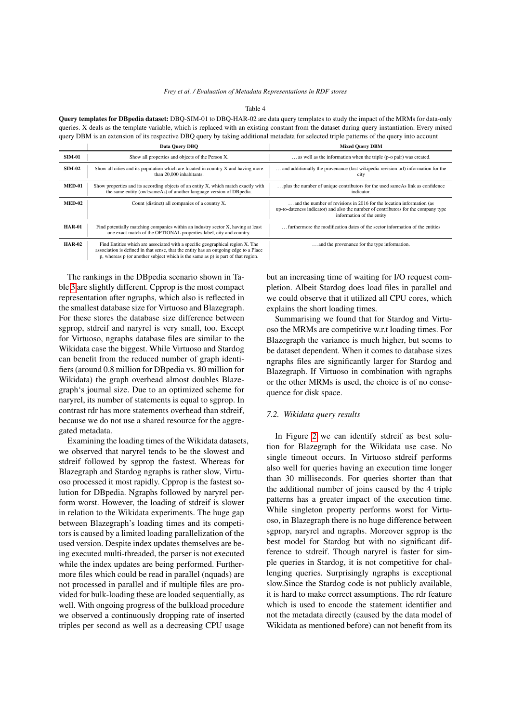Table 4

<span id="page-16-0"></span>Query templates for DBpedia dataset: DBQ-SIM-01 to DBQ-HAR-02 are data query templates to study the impact of the MRMs for data-only queries. X deals as the template variable, which is replaced with an existing constant from the dataset during query instantiation. Every mixed query DBM is an extension of its respective DBQ query by taking additional metadata for selected triple patterns of the query into account

|               | Data Ouery DBO                                                                                                                                                                                                                                             | <b>Mixed Query DBM</b>                                                                                                                                                                  |  |  |
|---------------|------------------------------------------------------------------------------------------------------------------------------------------------------------------------------------------------------------------------------------------------------------|-----------------------------------------------------------------------------------------------------------------------------------------------------------------------------------------|--|--|
| <b>SIM-01</b> | Show all properties and objects of the Person X.                                                                                                                                                                                                           | as well as the information when the triple (p-o pair) was created.                                                                                                                      |  |  |
| <b>SIM-02</b> | Show all cities and its population which are located in country X and having more<br>than 20,000 inhabitants.                                                                                                                                              | and additionally the provenance (last wikipedia revision url) information for the<br>city                                                                                               |  |  |
| <b>MED-01</b> | Show properties and its according objects of an entity X, which match exactly with<br>the same entity (owl:sameAs) of another language version of DBpedia.                                                                                                 | plus the number of unique contributors for the used sameAs link as confidence<br>indicator.                                                                                             |  |  |
| <b>MED-02</b> | Count (distinct) all companies of a country X.                                                                                                                                                                                                             | and the number of revisions in 2016 for the location information (as<br>up-to-dateness indicator) and also the number of contributors for the company type<br>information of the entity |  |  |
| <b>HAR-01</b> | Find potentially matching companies within an industry sector X, having at least<br>one exact match of the OPTIONAL properties label, city and country.                                                                                                    | furthermore the modification dates of the sector information of the entities                                                                                                            |  |  |
| <b>HAR-02</b> | Find Entities which are associated with a specific geographical region X. The<br>association is defined in that sense, that the entity has an outgoing edge to a Place<br>p, whereas p (or another subject which is the same as p) is part of that region. | and the provenance for the type information.                                                                                                                                            |  |  |

The rankings in the DBpedia scenario shown in Table [3](#page-15-2) are slightly different. Cpprop is the most compact representation after ngraphs, which also is reflected in the smallest database size for Virtuoso and Blazegraph. For these stores the database size difference between sgprop, stdreif and naryrel is very small, too. Except for Virtuoso, ngraphs database files are similar to the Wikidata case the biggest. While Virtuoso and Stardog can benefit from the reduced number of graph identifiers (around 0.8 million for DBpedia vs. 80 million for Wikidata) the graph overhead almost doubles Blazegraph's journal size. Due to an optimized scheme for naryrel, its number of statements is equal to sgprop. In contrast rdr has more statements overhead than stdreif, because we do not use a shared resource for the aggregated metadata.

Examining the loading times of the Wikidata datasets, we observed that naryrel tends to be the slowest and stdreif followed by sgprop the fastest. Whereas for Blazegraph and Stardog ngraphs is rather slow, Virtuoso processed it most rapidly. Cpprop is the fastest solution for DBpedia. Ngraphs followed by naryrel perform worst. However, the loading of stdreif is slower in relation to the Wikidata experiments. The huge gap between Blazegraph's loading times and its competitors is caused by a limited loading parallelization of the used version. Despite index updates themselves are being executed multi-threaded, the parser is not executed while the index updates are being performed. Furthermore files which could be read in parallel (nquads) are not processed in parallel and if multiple files are provided for bulk-loading these are loaded sequentially, as well. With ongoing progress of the bulkload procedure we observed a continuously dropping rate of inserted triples per second as well as a decreasing CPU usage

but an increasing time of waiting for I/O request completion. Albeit Stardog does load files in parallel and we could observe that it utilized all CPU cores, which explains the short loading times.

Summarising we found that for Stardog and Virtuoso the MRMs are competitive w.r.t loading times. For Blazegraph the variance is much higher, but seems to be dataset dependent. When it comes to database sizes ngraphs files are significantly larger for Stardog and Blazegraph. If Virtuoso in combination with ngraphs or the other MRMs is used, the choice is of no consequence for disk space.

# *7.2. Wikidata query results*

In Figure [2](#page-17-0) we can identify stdreif as best solution for Blazegraph for the Wikidata use case. No single timeout occurs. In Virtuoso stdreif performs also well for queries having an execution time longer than 30 milliseconds. For queries shorter than that the additional number of joins caused by the 4 triple patterns has a greater impact of the execution time. While singleton property performs worst for Virtuoso, in Blazegraph there is no huge difference between sgprop, naryrel and ngraphs. Moreover sgprop is the best model for Stardog but with no significant difference to stdreif. Though naryrel is faster for simple queries in Stardog, it is not competitive for challenging queries. Surprisingly ngraphs is exceptional slow.Since the Stardog code is not publicly available, it is hard to make correct assumptions. The rdr feature which is used to encode the statement identifier and not the metadata directly (caused by the data model of Wikidata as mentioned before) can not benefit from its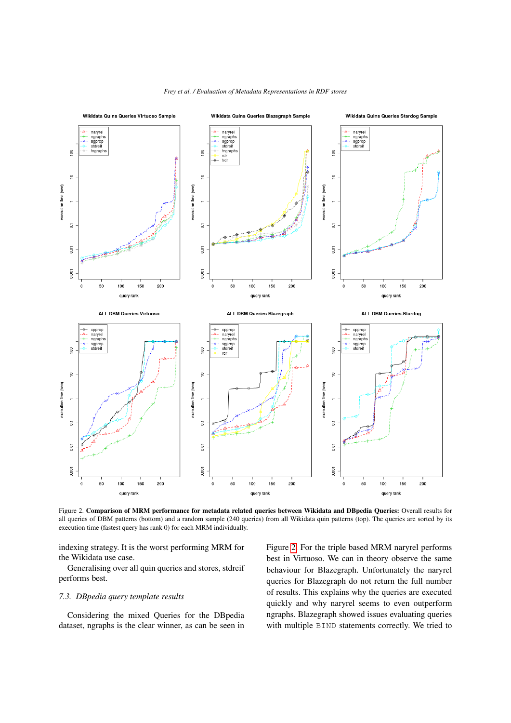<span id="page-17-0"></span>

Figure 2. Comparison of MRM performance for metadata related queries between Wikidata and DBpedia Queries: Overall results for all queries of DBM patterns (bottom) and a random sample (240 queries) from all Wikidata quin patterns (top). The queries are sorted by its execution time (fastest query has rank 0) for each MRM individually.

indexing strategy. It is the worst performing MRM for the Wikidata use case.

Generalising over all quin queries and stores, stdreif performs best.

### *7.3. DBpedia query template results*

Considering the mixed Queries for the DBpedia dataset, ngraphs is the clear winner, as can be seen in

Figure [2.](#page-17-0) For the triple based MRM naryrel performs best in Virtuoso. We can in theory observe the same behaviour for Blazegraph. Unfortunately the naryrel queries for Blazegraph do not return the full number of results. This explains why the queries are executed quickly and why naryrel seems to even outperform ngraphs. Blazegraph showed issues evaluating queries with multiple BIND statements correctly. We tried to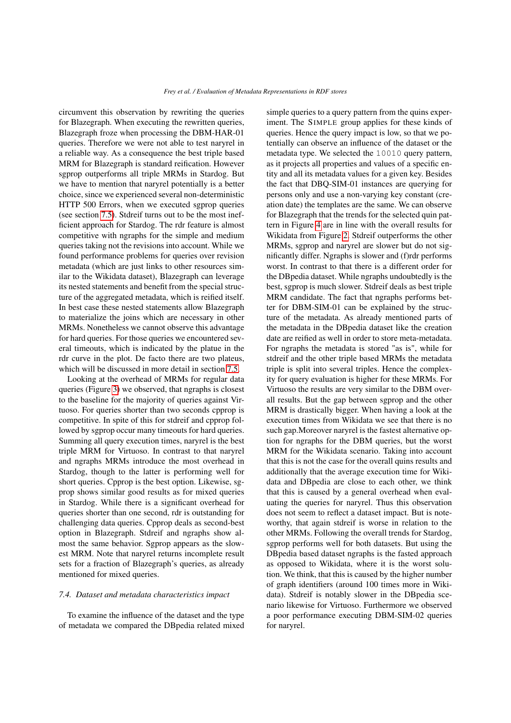circumvent this observation by rewriting the queries for Blazegraph. When executing the rewritten queries, Blazegraph froze when processing the DBM-HAR-01 queries. Therefore we were not able to test naryrel in a reliable way. As a consequence the best triple based MRM for Blazegraph is standard reification. However sgprop outperforms all triple MRMs in Stardog. But we have to mention that naryrel potentially is a better choice, since we experienced several non-deterministic HTTP 500 Errors, when we executed sgprop queries (see section [7.5\)](#page-19-0). Stdreif turns out to be the most inefficient approach for Stardog. The rdr feature is almost competitive with ngraphs for the simple and medium queries taking not the revisions into account. While we found performance problems for queries over revision metadata (which are just links to other resources similar to the Wikidata dataset), Blazegraph can leverage its nested statements and benefit from the special structure of the aggregated metadata, which is reified itself. In best case these nested statements allow Blazegraph to materialize the joins which are necessary in other MRMs. Nonetheless we cannot observe this advantage for hard queries. For those queries we encountered several timeouts, which is indicated by the platue in the rdr curve in the plot. De facto there are two plateus, which will be discussed in more detail in section [7.5.](#page-19-0)

Looking at the overhead of MRMs for regular data queries (Figure [3\)](#page-19-1) we observed, that ngraphs is closest to the baseline for the majority of queries against Virtuoso. For queries shorter than two seconds cpprop is competitive. In spite of this for stdreif and cpprop followed by sgprop occur many timeouts for hard queries. Summing all query execution times, naryrel is the best triple MRM for Virtuoso. In contrast to that naryrel and ngraphs MRMs introduce the most overhead in Stardog, though to the latter is performing well for short queries. Cpprop is the best option. Likewise, sgprop shows similar good results as for mixed queries in Stardog. While there is a significant overhead for queries shorter than one second, rdr is outstanding for challenging data queries. Cpprop deals as second-best option in Blazegraph. Stdreif and ngraphs show almost the same behavior. Sgprop appears as the slowest MRM. Note that naryrel returns incomplete result sets for a fraction of Blazegraph's queries, as already mentioned for mixed queries.

# *7.4. Dataset and metadata characteristics impact*

To examine the influence of the dataset and the type of metadata we compared the DBpedia related mixed simple queries to a query pattern from the quins experiment. The SIMPLE group applies for these kinds of queries. Hence the query impact is low, so that we potentially can observe an influence of the dataset or the metadata type. We selected the 10010 query pattern, as it projects all properties and values of a specific entity and all its metadata values for a given key. Besides the fact that DBQ-SIM-01 instances are querying for persons only and use a non-varying key constant (creation date) the templates are the same. We can observe for Blazegraph that the trends for the selected quin pattern in Figure [4](#page-19-2) are in line with the overall results for Wikidata from Figure [2.](#page-17-0) Stdreif outperforms the other MRMs, sgprop and naryrel are slower but do not significantly differ. Ngraphs is slower and (f)rdr performs worst. In contrast to that there is a different order for the DBpedia dataset. While ngraphs undoubtedly is the best, sgprop is much slower. Stdreif deals as best triple MRM candidate. The fact that ngraphs performs better for DBM-SIM-01 can be explained by the structure of the metadata. As already mentioned parts of the metadata in the DBpedia dataset like the creation date are reified as well in order to store meta-metadata. For ngraphs the metadata is stored "as is", while for stdreif and the other triple based MRMs the metadata triple is split into several triples. Hence the complexity for query evaluation is higher for these MRMs. For Virtuoso the results are very similar to the DBM overall results. But the gap between sgprop and the other MRM is drastically bigger. When having a look at the execution times from Wikidata we see that there is no such gap.Moreover naryrel is the fastest alternative option for ngraphs for the DBM queries, but the worst MRM for the Wikidata scenario. Taking into account that this is not the case for the overall quins results and additionally that the average execution time for Wikidata and DBpedia are close to each other, we think that this is caused by a general overhead when evaluating the queries for naryrel. Thus this observation does not seem to reflect a dataset impact. But is noteworthy, that again stdreif is worse in relation to the other MRMs. Following the overall trends for Stardog, sgprop performs well for both datasets. But using the DBpedia based dataset ngraphs is the fasted approach as opposed to Wikidata, where it is the worst solution. We think, that this is caused by the higher number of graph identifiers (around 100 times more in Wikidata). Stdreif is notably slower in the DBpedia scenario likewise for Virtuoso. Furthermore we observed a poor performance executing DBM-SIM-02 queries for naryrel.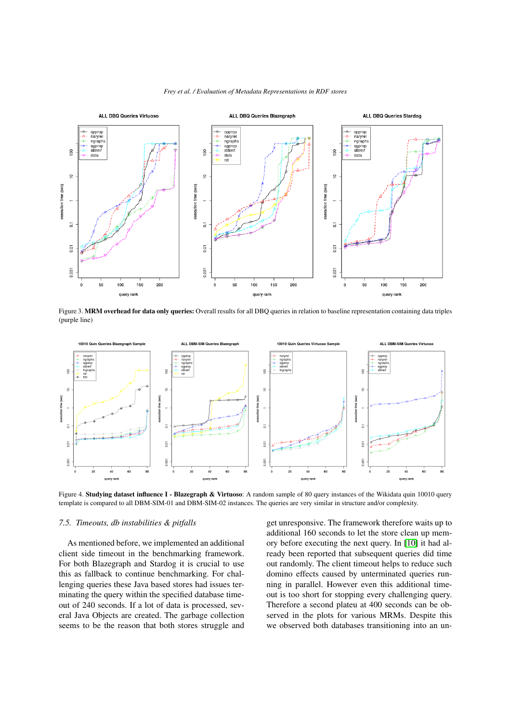<span id="page-19-1"></span>

Figure 3. MRM overhead for data only queries: Overall results for all DBQ queries in relation to baseline representation containing data triples (purple line)

<span id="page-19-2"></span>

Figure 4. Studying dataset influence I - Blazegraph & Virtuoso: A random sample of 80 query instances of the Wikidata quin 10010 query template is compared to all DBM-SIM-01 and DBM-SIM-02 instances. The queries are very similar in structure and/or complexity.

# <span id="page-19-0"></span>*7.5. Timeouts, db instabilities & pitfalls*

As mentioned before, we implemented an additional client side timeout in the benchmarking framework. For both Blazegraph and Stardog it is crucial to use this as fallback to continue benchmarking. For challenging queries these Java based stores had issues terminating the query within the specified database timeout of 240 seconds. If a lot of data is processed, several Java Objects are created. The garbage collection seems to be the reason that both stores struggle and get unresponsive. The framework therefore waits up to additional 160 seconds to let the store clean up memory before executing the next query. In [\[10\]](#page-22-2) it had already been reported that subsequent queries did time out randomly. The client timeout helps to reduce such domino effects caused by unterminated queries running in parallel. However even this additional timeout is too short for stopping every challenging query. Therefore a second plateu at 400 seconds can be observed in the plots for various MRMs. Despite this we observed both databases transitioning into an un-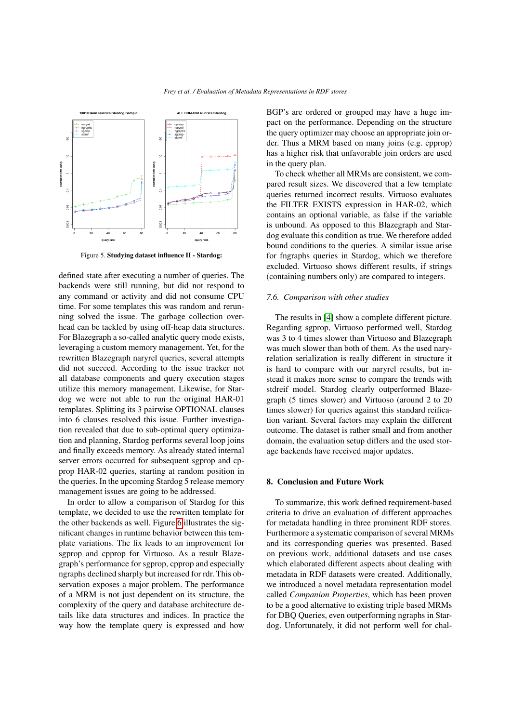

Figure 5. Studying dataset influence II - Stardog:

defined state after executing a number of queries. The backends were still running, but did not respond to any command or activity and did not consume CPU time. For some templates this was random and rerunning solved the issue. The garbage collection overhead can be tackled by using off-heap data structures. For Blazegraph a so-called analytic query mode exists, leveraging a custom memory management. Yet, for the rewritten Blazegraph naryrel queries, several attempts did not succeed. According to the issue tracker not all database components and query execution stages utilize this memory management. Likewise, for Stardog we were not able to run the original HAR-01 templates. Splitting its 3 pairwise OPTIONAL clauses into 6 clauses resolved this issue. Further investigation revealed that due to sub-optimal query optimization and planning, Stardog performs several loop joins and finally exceeds memory. As already stated internal server errors occurred for subsequent sgprop and cpprop HAR-02 queries, starting at random position in the queries. In the upcoming Stardog 5 release memory management issues are going to be addressed.

In order to allow a comparison of Stardog for this template, we decided to use the rewritten template for the other backends as well. Figure [6](#page-21-0) illustrates the significant changes in runtime behavior between this template variations. The fix leads to an improvement for sgprop and cpprop for Virtuoso. As a result Blazegraph's performance for sgprop, cpprop and especially ngraphs declined sharply but increased for rdr. This observation exposes a major problem. The performance of a MRM is not just dependent on its structure, the complexity of the query and database architecture details like data structures and indices. In practice the way how the template query is expressed and how BGP's are ordered or grouped may have a huge impact on the performance. Depending on the structure the query optimizer may choose an appropriate join order. Thus a MRM based on many joins (e.g. cpprop) has a higher risk that unfavorable join orders are used in the query plan.

To check whether all MRMs are consistent, we compared result sizes. We discovered that a few template queries returned incorrect results. Virtuoso evaluates the FILTER EXISTS expression in HAR-02, which contains an optional variable, as false if the variable is unbound. As opposed to this Blazegraph and Stardog evaluate this condition as true. We therefore added bound conditions to the queries. A similar issue arise for fngraphs queries in Stardog, which we therefore excluded. Virtuoso shows different results, if strings (containing numbers only) are compared to integers.

### *7.6. Comparison with other studies*

The results in [\[4\]](#page-22-6) show a complete different picture. Regarding sgprop, Virtuoso performed well, Stardog was 3 to 4 times slower than Virtuoso and Blazegraph was much slower than both of them. As the used naryrelation serialization is really different in structure it is hard to compare with our naryrel results, but instead it makes more sense to compare the trends with stdreif model. Stardog clearly outperformed Blazegraph (5 times slower) and Virtuoso (around 2 to 20 times slower) for queries against this standard reification variant. Several factors may explain the different outcome. The dataset is rather small and from another domain, the evaluation setup differs and the used storage backends have received major updates.

# 8. Conclusion and Future Work

To summarize, this work defined requirement-based criteria to drive an evaluation of different approaches for metadata handling in three prominent RDF stores. Furthermore a systematic comparison of several MRMs and its corresponding queries was presented. Based on previous work, additional datasets and use cases which elaborated different aspects about dealing with metadata in RDF datasets were created. Additionally, we introduced a novel metadata representation model called *Companion Properties*, which has been proven to be a good alternative to existing triple based MRMs for DBQ Queries, even outperforming ngraphs in Stardog. Unfortunately, it did not perform well for chal-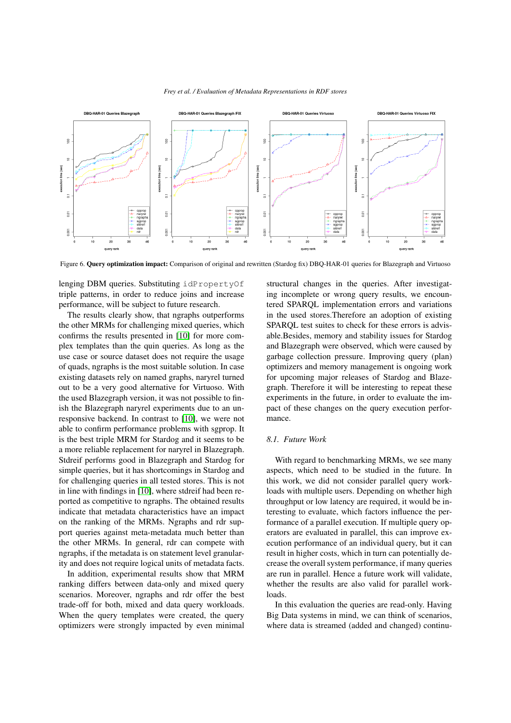<span id="page-21-0"></span>

Figure 6. Query optimization impact: Comparison of original and rewritten (Stardog fix) DBQ-HAR-01 queries for Blazegraph and Virtuoso

lenging DBM queries. Substituting idPropertyOf triple patterns, in order to reduce joins and increase performance, will be subject to future research.

The results clearly show, that ngraphs outperforms the other MRMs for challenging mixed queries, which confirms the results presented in [\[10\]](#page-22-2) for more complex templates than the quin queries. As long as the use case or source dataset does not require the usage of quads, ngraphs is the most suitable solution. In case existing datasets rely on named graphs, naryrel turned out to be a very good alternative for Virtuoso. With the used Blazegraph version, it was not possible to finish the Blazegraph naryrel experiments due to an unresponsive backend. In contrast to [\[10\]](#page-22-2), we were not able to confirm performance problems with sgprop. It is the best triple MRM for Stardog and it seems to be a more reliable replacement for naryrel in Blazegraph. Stdreif performs good in Blazegraph and Stardog for simple queries, but it has shortcomings in Stardog and for challenging queries in all tested stores. This is not in line with findings in [\[10\]](#page-22-2), where stdreif had been reported as competitive to ngraphs. The obtained results indicate that metadata characteristics have an impact on the ranking of the MRMs. Ngraphs and rdr support queries against meta-metadata much better than the other MRMs. In general, rdr can compete with ngraphs, if the metadata is on statement level granularity and does not require logical units of metadata facts.

In addition, experimental results show that MRM ranking differs between data-only and mixed query scenarios. Moreover, ngraphs and rdr offer the best trade-off for both, mixed and data query workloads. When the query templates were created, the query optimizers were strongly impacted by even minimal structural changes in the queries. After investigating incomplete or wrong query results, we encountered SPARQL implementation errors and variations in the used stores.Therefore an adoption of existing SPARQL test suites to check for these errors is advisable.Besides, memory and stability issues for Stardog and Blazegraph were observed, which were caused by garbage collection pressure. Improving query (plan) optimizers and memory management is ongoing work for upcoming major releases of Stardog and Blazegraph. Therefore it will be interesting to repeat these experiments in the future, in order to evaluate the impact of these changes on the query execution performance.

# *8.1. Future Work*

With regard to benchmarking MRMs, we see many aspects, which need to be studied in the future. In this work, we did not consider parallel query workloads with multiple users. Depending on whether high throughput or low latency are required, it would be interesting to evaluate, which factors influence the performance of a parallel execution. If multiple query operators are evaluated in parallel, this can improve execution performance of an individual query, but it can result in higher costs, which in turn can potentially decrease the overall system performance, if many queries are run in parallel. Hence a future work will validate, whether the results are also valid for parallel workloads.

In this evaluation the queries are read-only. Having Big Data systems in mind, we can think of scenarios, where data is streamed (added and changed) continu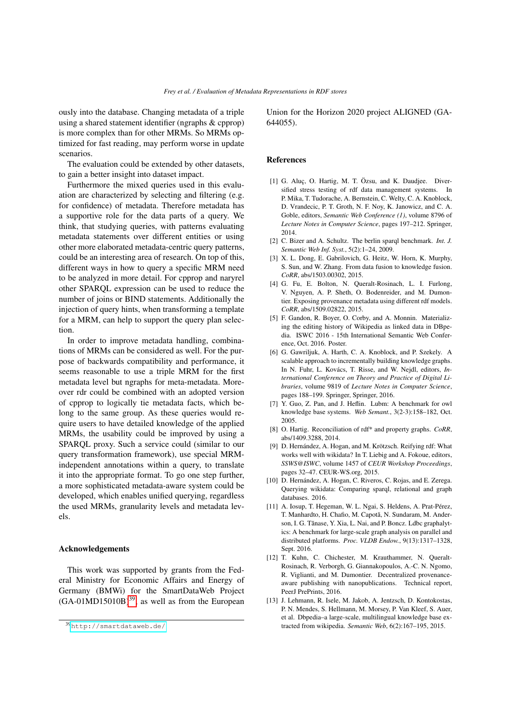ously into the database. Changing metadata of a triple using a shared statement identifier (ngraphs & cpprop) is more complex than for other MRMs. So MRMs optimized for fast reading, may perform worse in update scenarios.

The evaluation could be extended by other datasets, to gain a better insight into dataset impact.

Furthermore the mixed queries used in this evaluation are characterized by selecting and filtering (e.g. for confidence) of metadata. Therefore metadata has a supportive role for the data parts of a query. We think, that studying queries, with patterns evaluating metadata statements over different entities or using other more elaborated metadata-centric query patterns, could be an interesting area of research. On top of this, different ways in how to query a specific MRM need to be analyzed in more detail. For cpprop and naryrel other SPARQL expression can be used to reduce the number of joins or BIND statements. Additionally the injection of query hints, when transforming a template for a MRM, can help to support the query plan selection.

In order to improve metadata handling, combinations of MRMs can be considered as well. For the purpose of backwards compatibility and performance, it seems reasonable to use a triple MRM for the first metadata level but ngraphs for meta-metadata. Moreover rdr could be combined with an adopted version of cpprop to logically tie metadata facts, which belong to the same group. As these queries would require users to have detailed knowledge of the applied MRMs, the usability could be improved by using a SPARQL proxy. Such a service could (similar to our query transformation framework), use special MRMindependent annotations within a query, to translate it into the appropriate format. To go one step further, a more sophisticated metadata-aware system could be developed, which enables unified querying, regardless the used MRMs, granularity levels and metadata levels.

### Acknowledgements

This work was supported by grants from the Federal Ministry for Economic Affairs and Energy of Germany (BMWi) for the SmartDataWeb Project  $(GA-01MD15010B)^{39}$  $(GA-01MD15010B)^{39}$  $(GA-01MD15010B)^{39}$ , as well as from the European Union for the Horizon 2020 project ALIGNED (GA-644055).

### References

- <span id="page-22-8"></span>[1] G. Aluç, O. Hartig, M. T. Özsu, and K. Daudjee. Diversified stress testing of rdf data management systems. In P. Mika, T. Tudorache, A. Bernstein, C. Welty, C. A. Knoblock, D. Vrandecic, P. T. Groth, N. F. Noy, K. Janowicz, and C. A. Goble, editors, *Semantic Web Conference (1)*, volume 8796 of *Lecture Notes in Computer Science*, pages 197–212. Springer, 2014.
- <span id="page-22-3"></span>[2] C. Bizer and A. Schultz. The berlin sparql benchmark. *Int. J. Semantic Web Inf. Syst.*, 5(2):1–24, 2009.
- <span id="page-22-1"></span>[3] X. L. Dong, E. Gabrilovich, G. Heitz, W. Horn, K. Murphy, S. Sun, and W. Zhang. From data fusion to knowledge fusion. *CoRR*, abs/1503.00302, 2015.
- <span id="page-22-6"></span>[4] G. Fu, E. Bolton, N. Queralt-Rosinach, L. I. Furlong, V. Nguyen, A. P. Sheth, O. Bodenreider, and M. Dumontier. Exposing provenance metadata using different rdf models. *CoRR*, abs/1509.02822, 2015.
- <span id="page-22-12"></span>[5] F. Gandon, R. Boyer, O. Corby, and A. Monnin. Materializing the editing history of Wikipedia as linked data in DBpedia. ISWC 2016 - 15th International Semantic Web Conference, Oct. 2016. Poster.
- <span id="page-22-10"></span>[6] G. Gawriljuk, A. Harth, C. A. Knoblock, and P. Szekely. A scalable approach to incrementally building knowledge graphs. In N. Fuhr, L. Kovács, T. Risse, and W. Nejdl, editors, *International Conference on Theory and Practice of Digital Libraries*, volume 9819 of *Lecture Notes in Computer Science*, pages 188–199. Springer, Springer, 2016.
- <span id="page-22-4"></span>[7] Y. Guo, Z. Pan, and J. Heflin. Lubm: A benchmark for owl knowledge base systems. *Web Semant.*, 3(2-3):158–182, Oct. 2005.
- <span id="page-22-11"></span>[8] O. Hartig. Reconciliation of rdf\* and property graphs. *CoRR*, abs/1409.3288, 2014.
- <span id="page-22-9"></span>[9] D. Hernández, A. Hogan, and M. Krötzsch. Reifying rdf: What works well with wikidata? In T. Liebig and A. Fokoue, editors, *SSWS@ISWC*, volume 1457 of *CEUR Workshop Proceedings*, pages 32–47. CEUR-WS.org, 2015.
- <span id="page-22-2"></span>[10] D. Hernández, A. Hogan, C. Riveros, C. Rojas, and E. Zerega. Querying wikidata: Comparing sparql, relational and graph databases. 2016.
- <span id="page-22-7"></span>[11] A. Iosup, T. Hegeman, W. L. Ngai, S. Heldens, A. Prat-Pérez, T. Manhardto, H. Chafio, M. Capotă, N. Sundaram, M. Anderson, I. G. Tănase, Y. Xia, L. Nai, and P. Boncz. Ldbc graphalytics: A benchmark for large-scale graph analysis on parallel and distributed platforms. *Proc. VLDB Endow.*, 9(13):1317–1328, Sept. 2016.
- <span id="page-22-5"></span>[12] T. Kuhn, C. Chichester, M. Krauthammer, N. Queralt-Rosinach, R. Verborgh, G. Giannakopoulos, A.-C. N. Ngomo, R. Viglianti, and M. Dumontier. Decentralized provenanceaware publishing with nanopublications. Technical report, PeerJ PrePrints, 2016.
- <span id="page-22-0"></span>[13] J. Lehmann, R. Isele, M. Jakob, A. Jentzsch, D. Kontokostas, P. N. Mendes, S. Hellmann, M. Morsey, P. Van Kleef, S. Auer, et al. Dbpedia–a large-scale, multilingual knowledge base extracted from wikipedia. *Semantic Web*, 6(2):167–195, 2015.

<span id="page-22-13"></span><sup>39</sup><http://smartdataweb.de/>